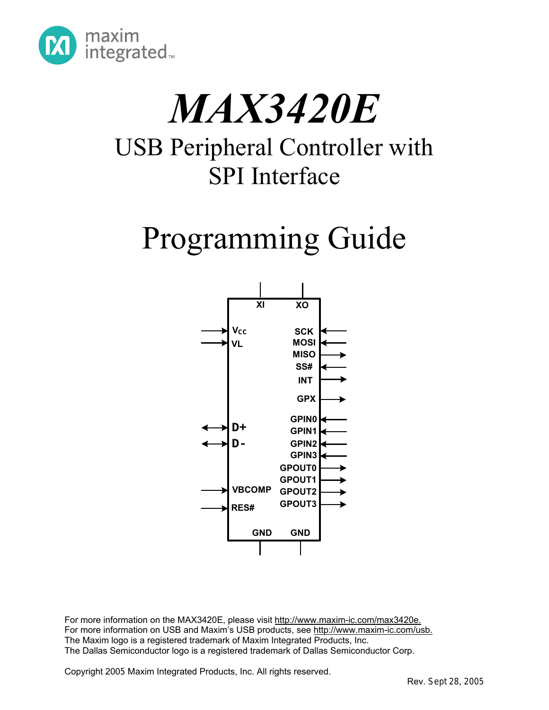

# *MAX3420E*

### USB Peripheral Controller with SPI Interface

## Programming Guide



For more information on the MAX3420E, please visit http://www.maxim-ic.com/max3420e. For more information on USB and Maxim's USB products, see http://www.maxim-ic.com/usb. The Maxim logo is a registered trademark of Maxim Integrated Products, Inc. The Dallas Semiconductor logo is a registered trademark of Dallas Semiconductor Corp.

Copyright 2005 Maxim Integrated Products, Inc. All rights reserved.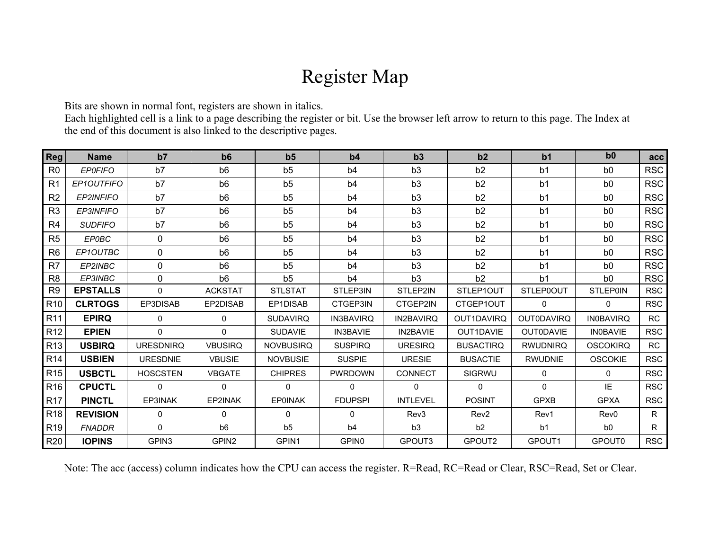### Register Map

Bits are shown in normal font, registers are shown in italics.

Each highlighted cell is a link to a page describing the register or bit. Use the browser left arrow to return to this page. The Index at the end of this document is also linked to the descriptive pages.

| <b>Reg</b>      | <b>Name</b>      | b7                | b6                | b <sub>5</sub>   | b4                | b3               | b2                 | b <sub>1</sub>    | b <sub>0</sub>   | acc        |
|-----------------|------------------|-------------------|-------------------|------------------|-------------------|------------------|--------------------|-------------------|------------------|------------|
| R <sub>0</sub>  | <b>EPOFIFO</b>   | b7                | b <sub>6</sub>    | b <sub>5</sub>   | b <sub>4</sub>    | b <sub>3</sub>   | b2                 | b <sub>1</sub>    | b <sub>0</sub>   | <b>RSC</b> |
| R <sub>1</sub>  | EP1OUTFIFO       | b7                | b <sub>6</sub>    | b <sub>5</sub>   | b <sub>4</sub>    | b <sub>3</sub>   | b2                 | b <sub>1</sub>    | b <sub>0</sub>   | <b>RSC</b> |
| R <sub>2</sub>  | <b>EP2INFIFO</b> | b7                | b <sub>6</sub>    | b <sub>5</sub>   | b4                | b3               | b2                 | b <sub>1</sub>    | b <sub>0</sub>   | <b>RSC</b> |
| R <sub>3</sub>  | EP3INFIFO        | b7                | b <sub>6</sub>    | b <sub>5</sub>   | b4                | b <sub>3</sub>   | b2                 | b <sub>1</sub>    | b <sub>0</sub>   | <b>RSC</b> |
| R <sub>4</sub>  | <b>SUDFIFO</b>   | b7                | b <sub>6</sub>    | b <sub>5</sub>   | b <sub>4</sub>    | b <sub>3</sub>   | b2                 | b <sub>1</sub>    | b <sub>0</sub>   | <b>RSC</b> |
| R <sub>5</sub>  | <b>EPOBC</b>     | 0                 | b <sub>6</sub>    | b5               | b4                | b <sub>3</sub>   | b <sub>2</sub>     | b <sub>1</sub>    | b <sub>0</sub>   | <b>RSC</b> |
| R <sub>6</sub>  | EP1OUTBC         | 0                 | b <sub>6</sub>    | b <sub>5</sub>   | b <sub>4</sub>    | b3               | b2                 | b <sub>1</sub>    | b <sub>0</sub>   | <b>RSC</b> |
| R <sub>7</sub>  | EP2INBC          | 0                 | b <sub>6</sub>    | b <sub>5</sub>   | b4                | b <sub>3</sub>   | b2                 | b <sub>1</sub>    | b <sub>0</sub>   | <b>RSC</b> |
| R <sub>8</sub>  | EP3INBC          | 0                 | b <sub>6</sub>    | b <sub>5</sub>   | b <sub>4</sub>    | b <sub>3</sub>   | b2                 | b <sub>1</sub>    | b <sub>0</sub>   | <b>RSC</b> |
| R <sub>9</sub>  | <b>EPSTALLS</b>  | 0                 | <b>ACKSTAT</b>    | <b>STLSTAT</b>   | STLEP3IN          | STLEP2IN         | STLEP1OUT          | <b>STLEP0OUT</b>  | <b>STLEP0IN</b>  | <b>RSC</b> |
| R <sub>10</sub> | <b>CLRTOGS</b>   | EP3DISAB          | EP2DISAB          | EP1DISAB         | CTGEP3IN          | CTGEP2IN         | CTGEP1OUT          | $\Omega$          | 0                | <b>RSC</b> |
| R <sub>11</sub> | <b>EPIRQ</b>     | 0                 | $\Omega$          | <b>SUDAVIRQ</b>  | <b>IN3BAVIRQ</b>  | <b>IN2BAVIRQ</b> | OUT1DAVIRQ         | <b>OUT0DAVIRQ</b> | <b>IN0BAVIRQ</b> | <b>RC</b>  |
| R <sub>12</sub> | <b>EPIEN</b>     | 0                 | $\Omega$          | <b>SUDAVIE</b>   | <b>IN3BAVIE</b>   | <b>IN2BAVIE</b>  | OUT1DAVIE          | <b>OUTODAVIE</b>  | <b>IN0BAVIE</b>  | <b>RSC</b> |
| R <sub>13</sub> | <b>USBIRQ</b>    | <b>URESDNIRQ</b>  | <b>VBUSIRQ</b>    | <b>NOVBUSIRQ</b> | <b>SUSPIRQ</b>    | <b>URESIRQ</b>   | <b>BUSACTIRQ</b>   | <b>RWUDNIRQ</b>   | <b>OSCOKIRQ</b>  | <b>RC</b>  |
| R <sub>14</sub> | <b>USBIEN</b>    | <b>URESDNIE</b>   | <b>VBUSIE</b>     | <b>NOVBUSIE</b>  | <b>SUSPIE</b>     | <b>URESIE</b>    | <b>BUSACTIE</b>    | <b>RWUDNIE</b>    | <b>OSCOKIE</b>   | <b>RSC</b> |
| R <sub>15</sub> | <b>USBCTL</b>    | <b>HOSCSTEN</b>   | <b>VBGATE</b>     | <b>CHIPRES</b>   | <b>PWRDOWN</b>    | CONNECT          | SIGRWU             | 0                 | $\mathbf{0}$     | <b>RSC</b> |
| R <sub>16</sub> | <b>CPUCTL</b>    | 0                 | $\Omega$          | $\Omega$         | $\Omega$          | $\Omega$         | $\Omega$           | $\Omega$          | IE               | <b>RSC</b> |
| <b>R17</b>      | <b>PINCTL</b>    | EP3INAK           | EP2INAK           | <b>EP0INAK</b>   | <b>FDUPSPI</b>    | <b>INTLEVEL</b>  | <b>POSINT</b>      | <b>GPXB</b>       | <b>GPXA</b>      | <b>RSC</b> |
| R <sub>18</sub> | <b>REVISION</b>  | 0                 | $\mathbf{0}$      | 0                | 0                 | Rev3             | Rev <sub>2</sub>   | Rev1              | Rev <sub>0</sub> | R          |
| R <sub>19</sub> | <b>FNADDR</b>    | 0                 | b <sub>6</sub>    | b5               | b4                | b3               | b2                 | b <sub>1</sub>    | b <sub>0</sub>   | R          |
| <b>R20</b>      | <b>IOPINS</b>    | GPIN <sub>3</sub> | GPIN <sub>2</sub> | GPIN1            | GPIN <sub>0</sub> | GPOUT3           | GPOUT <sub>2</sub> | GPOUT1            | GPOUT0           | <b>RSC</b> |

Note: The acc (access) column indicates how the CPU can access the register. R=Read, RC=Read or Clear, RSC=Read, Set or Clear.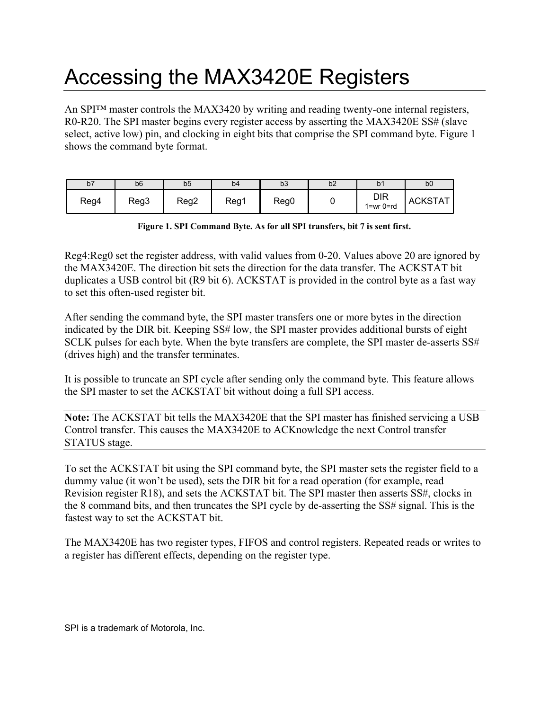### Accessing the MAX3420E Registers

An SPI™ master controls the MAX3420 by writing and reading twenty-one internal registers, R0-R20. The SPI master begins every register access by asserting the MAX3420E SS# (slave select, active low) pin, and clocking in eight bits that comprise the SPI command byte. [Figure 1](#page-2-0)  shows the command byte format.

| b7   | b6   | b <sub>5</sub> | b <sub>4</sub> | b <sub>3</sub> | b2 | b١                      | b <sub>0</sub> |
|------|------|----------------|----------------|----------------|----|-------------------------|----------------|
| Reg4 | Reg3 | Reg2           | Reg1           | Reg0           |    | <b>DIR</b><br>1=wr 0=rd | ACKSTAT        |

<span id="page-2-0"></span>**Figure 1. SPI Command Byte. As for all SPI transfers, bit 7 is sent first.** 

Reg4:Reg0 set the register address, with valid values from 0-20. Values above 20 are ignored by the MAX3420E. The direction bit sets the direction for the data transfer. The ACKSTAT bit duplicates a USB control bit (R9 bit 6). ACKSTAT is provided in the control byte as a fast way to set this often-used register bit.

After sending the command byte, the SPI master transfers one or more bytes in the direction indicated by the DIR bit. Keeping SS# low, the SPI master provides additional bursts of eight SCLK pulses for each byte. When the byte transfers are complete, the SPI master de-asserts SS# (drives high) and the transfer terminates.

It is possible to truncate an SPI cycle after sending only the command byte. This feature allows the SPI master to set the ACKSTAT bit without doing a full SPI access.

**Note:** The ACKSTAT bit tells the MAX3420E that the SPI master has finished servicing a USB Control transfer. This causes the MAX3420E to ACKnowledge the next Control transfer STATUS stage.

To set the ACKSTAT bit using the SPI command byte, the SPI master sets the register field to a dummy value (it won't be used), sets the DIR bit for a read operation (for example, read Revision register R18), and sets the ACKSTAT bit. The SPI master then asserts SS#, clocks in the 8 command bits, and then truncates the SPI cycle by de-asserting the SS# signal. This is the fastest way to set the ACKSTAT bit.

The MAX3420E has two register types, FIFOS and control registers. Repeated reads or writes to a register has different effects, depending on the register type.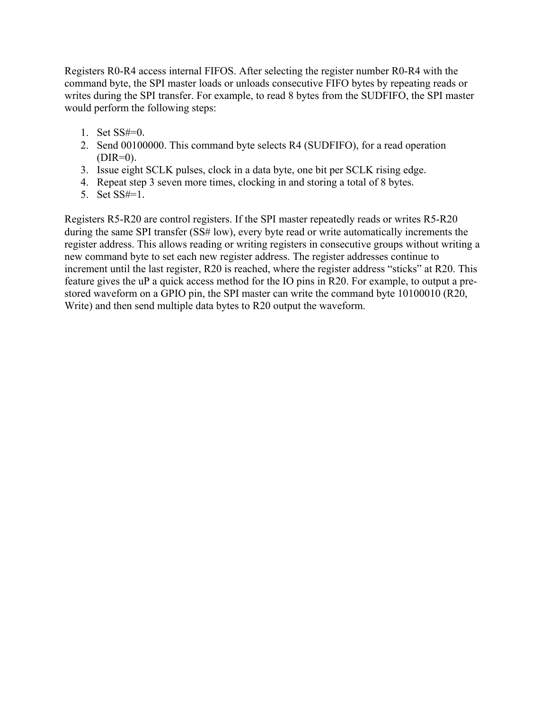Registers R0-R4 access internal FIFOS. After selecting the register number R0-R4 with the command byte, the SPI master loads or unloads consecutive FIFO bytes by repeating reads or writes during the SPI transfer. For example, to read 8 bytes from the SUDFIFO, the SPI master would perform the following steps:

- 1. Set SS#=0.
- 2. Send 00100000. This command byte selects R4 (SUDFIFO), for a read operation  $(DIR=0)$ .
- 3. Issue eight SCLK pulses, clock in a data byte, one bit per SCLK rising edge.
- 4. Repeat step 3 seven more times, clocking in and storing a total of 8 bytes.
- 5. Set SS#=1.

Registers R5-R20 are control registers. If the SPI master repeatedly reads or writes R5-R20 during the same SPI transfer (SS# low), every byte read or write automatically increments the register address. This allows reading or writing registers in consecutive groups without writing a new command byte to set each new register address. The register addresses continue to increment until the last register, R20 is reached, where the register address "sticks" at R20. This feature gives the uP a quick access method for the IO pins in R20. For example, to output a prestored waveform on a GPIO pin, the SPI master can write the command byte 10100010 (R20, Write) and then send multiple data bytes to R20 output the waveform.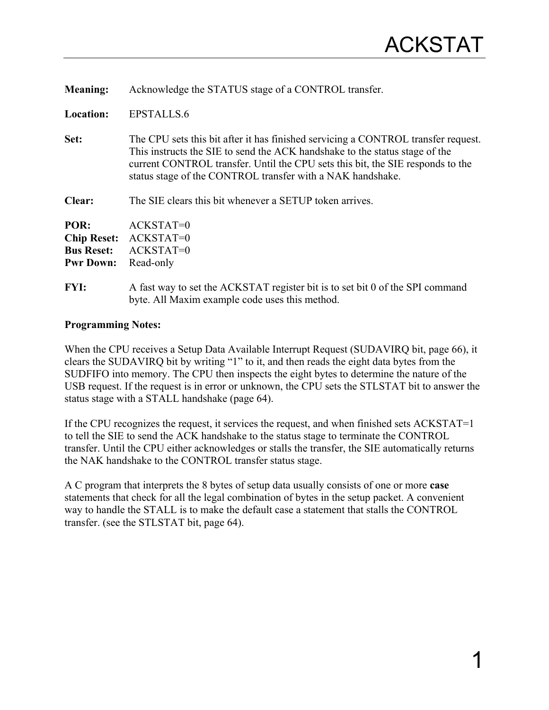<span id="page-4-1"></span>**Meaning:** Acknowledge the STATUS stage of a CONTROL transfer.

**Location:** EPSTALLS.6

**Set:** The CPU sets this bit after it has finished servicing a CONTROL transfer request. This instructs the SIE to send the ACK handshake to the status stage of the current CONTROL transfer. Until the CPU sets this bit, the SIE responds to the status stage of the CONTROL transfer with a NAK handshake.

**Clear:** The SIE clears this bit whenever a SETUP token arrives.

| POR:               | ACKSTAT=0   |
|--------------------|-------------|
| <b>Chip Reset:</b> | ACKSTAT=0   |
| <b>Bus Reset:</b>  | $ACKSTAT=0$ |
| <b>Pwr Down:</b>   | Read-only   |

**FYI:** A fast way to set the ACKSTAT register bit is to set bit 0 of the SPI command byte. All Maxim example code uses this method.

#### **Programming Notes:**

When the CPU receives a Setup Data Available Interrupt Request (SUDAVIRQ bit, page [66\)](#page-69-1), it clears the SUDAVIRQ bit by writing "1" to it, and then reads the eight data bytes from the SUDFIFO into memory. The CPU then inspects the eight bytes to determine the nature of the USB request. If the request is in error or unknown, the CPU sets the STLSTAT bit to answer the status stage with a STALL handshake (page [64\)](#page-67-1).

<span id="page-4-0"></span>If the CPU recognizes the request, it services the request, and when finished sets ACKSTAT=1 to tell the SIE to send the ACK handshake to the status stage to terminate the CONTROL transfer. Until the CPU either acknowledges or stalls the transfer, the SIE automatically returns the NAK handshake to the CONTROL transfer status stage.

A C program that interprets the 8 bytes of setup data usually consists of one or more **case** statements that check for all the legal combination of bytes in the setup packet. A convenient way to handle the STALL is to make the default case a statement that stalls the CONTROL transfer. (see the STLSTAT bit, page [64\)](#page-67-1).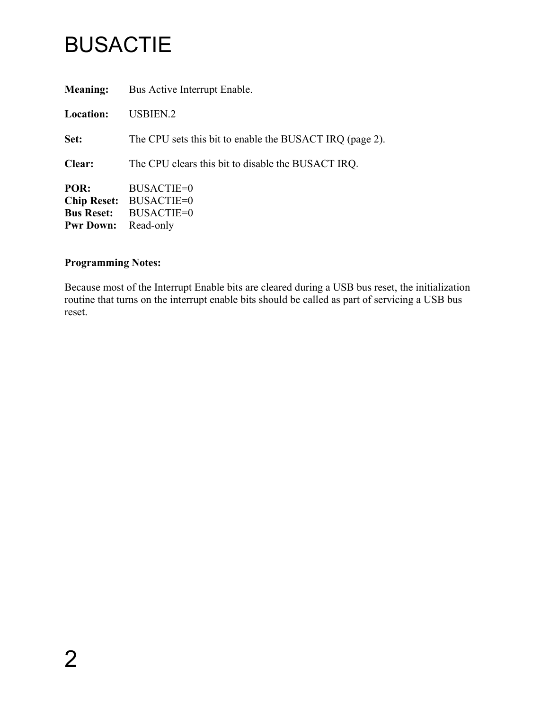### BUSACTIE

<span id="page-5-0"></span>

| <b>Meaning:</b>                                                     | Bus Active Interrupt Enable.                                             |
|---------------------------------------------------------------------|--------------------------------------------------------------------------|
| <b>Location:</b>                                                    | <b>USBIEN.2</b>                                                          |
| Set:                                                                | The CPU sets this bit to enable the BUSACT IRQ (page 2).                 |
| Clear:                                                              | The CPU clears this bit to disable the BUSACT IRQ.                       |
| POR:<br><b>Chip Reset:</b><br><b>Bus Reset:</b><br><b>Pwr Down:</b> | <b>BUSACTIE=0</b><br><b>BUSACTIE=0</b><br><b>BUSACTIE=0</b><br>Read-only |

### **Programming Notes:**

Because most of the Interrupt Enable bits are cleared during a USB bus reset, the initialization routine that turns on the interrupt enable bits should be called as part of servicing a USB bus reset.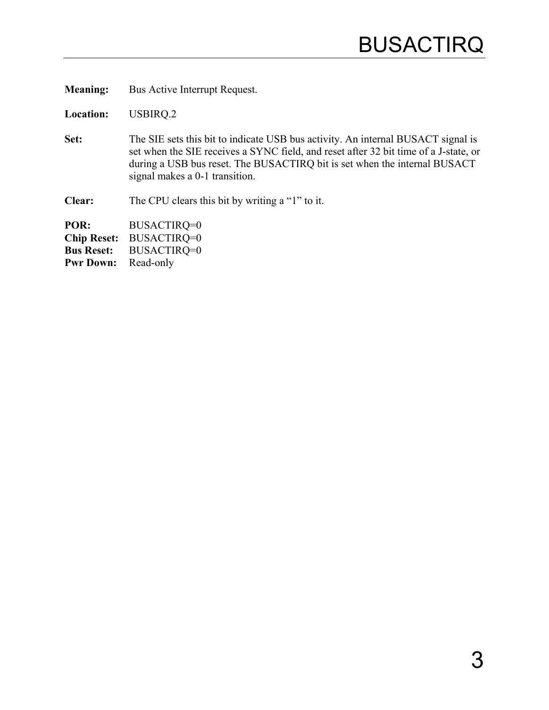**Meaning:** Bus Active Interrupt Request.

**Location:** USBIRQ.2

Set: The SIE sets this bit to indicate USB bus activity. An internal BUSACT signal is set when the SIE receives a SYNC field, and reset after 32 bit time of a J-state, or during a USB bus reset. The BUSACTIRQ bit is set when the internal BUSACT signal makes a 0-1 transition.

**Clear:** The CPU clears this bit by writing a "1" to it.

<span id="page-6-1"></span><span id="page-6-0"></span>**POR:** BUSACTIRQ=0 **Chip Reset:** BUSACTIRQ=0 **Bus Reset:** BUSACTIRQ=0 **Pwr Down:** Read-only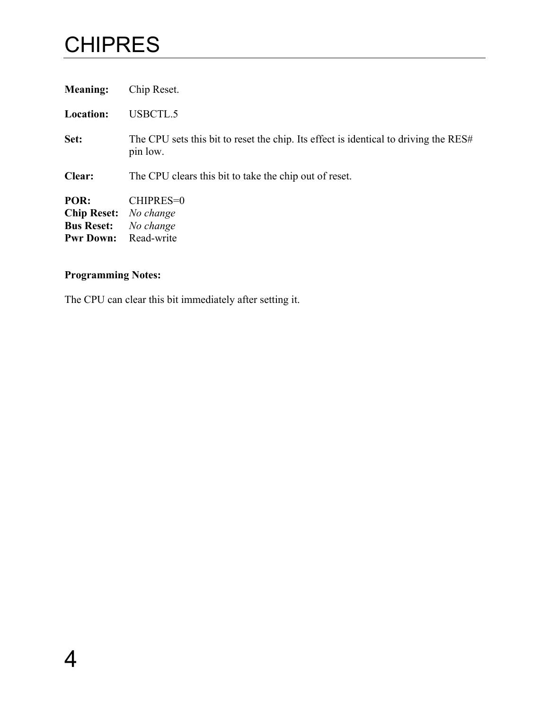### **CHIPRES**

<span id="page-7-0"></span>

| <b>Meaning:</b>                                                     | Chip Reset.                                                                                      |
|---------------------------------------------------------------------|--------------------------------------------------------------------------------------------------|
| <b>Location:</b>                                                    | USBCTL.5                                                                                         |
| Set:                                                                | The CPU sets this bit to reset the chip. Its effect is identical to driving the RES#<br>pin low. |
| Clear:                                                              | The CPU clears this bit to take the chip out of reset.                                           |
| POR:<br><b>Chip Reset:</b><br><b>Bus Reset:</b><br><b>Pwr Down:</b> | CHIPRES=0<br>No change<br>No change<br>Read-write                                                |

### **Programming Notes:**

The CPU can clear this bit immediately after setting it.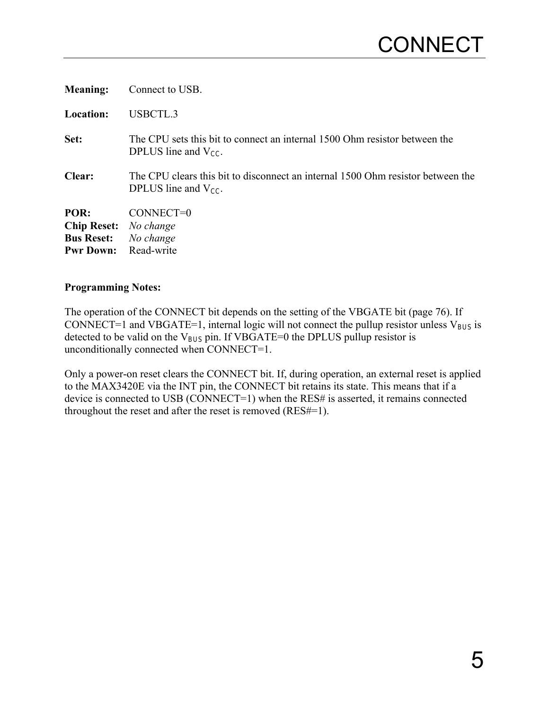| <b>Meaning:</b>                                                     | Connect to USB.                                                                                              |
|---------------------------------------------------------------------|--------------------------------------------------------------------------------------------------------------|
| <b>Location:</b>                                                    | USBCTL.3                                                                                                     |
| Set:                                                                | The CPU sets this bit to connect an internal 1500 Ohm resistor between the<br>DPLUS line and $V_{CC}$ .      |
| Clear:                                                              | The CPU clears this bit to disconnect an internal 1500 Ohm resistor between the<br>DPLUS line and $V_{CC}$ . |
| POR:<br><b>Chip Reset:</b><br><b>Bus Reset:</b><br><b>Pwr Down:</b> | CONNECT=0<br>No change<br>No change<br>Read-write                                                            |

The operation of the CONNECT bit depends on the setting of the VBGATE bit (page [76\)](#page-79-1). If CONNECT=1 and VBGATE=1, internal logic will not connect the pullup resistor unless  $V_{BUS}$  is detected to be valid on the  $V_{BUS}$  pin. If VBGATE=0 the DPLUS pullup resistor is unconditionally connected when CONNECT=1.

<span id="page-8-0"></span>Only a power-on reset clears the CONNECT bit. If, during operation, an external reset is applied to the MAX3420E via the INT pin, the CONNECT bit retains its state. This means that if a device is connected to USB (CONNECT=1) when the RES# is asserted, it remains connected throughout the reset and after the reset is removed (RES#=1).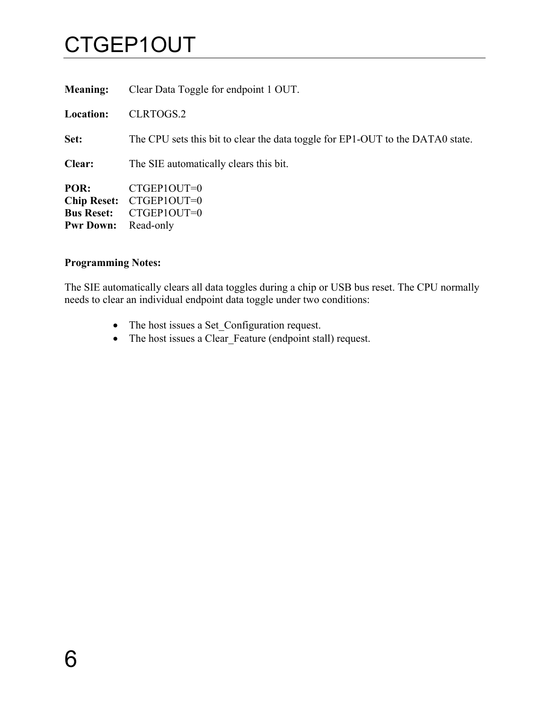### CTGEP1OUT

<span id="page-9-0"></span>

| Clear Data Toggle for endpoint 1 OUT.                                          |
|--------------------------------------------------------------------------------|
| CLRTOGS.2                                                                      |
| The CPU sets this bit to clear the data toggle for EP1-OUT to the DATA0 state. |
| The SIE automatically clears this bit.                                         |
| CTGEP1OUT=0<br>CTGEP1OUT=0<br>CTGEP1OUT=0<br>Read-only                         |
|                                                                                |

#### **Programming Notes:**

The SIE automatically clears all data toggles during a chip or USB bus reset. The CPU normally needs to clear an individual endpoint data toggle under two conditions:

- The host issues a Set\_Configuration request.
- The host issues a Clear\_Feature (endpoint stall) request.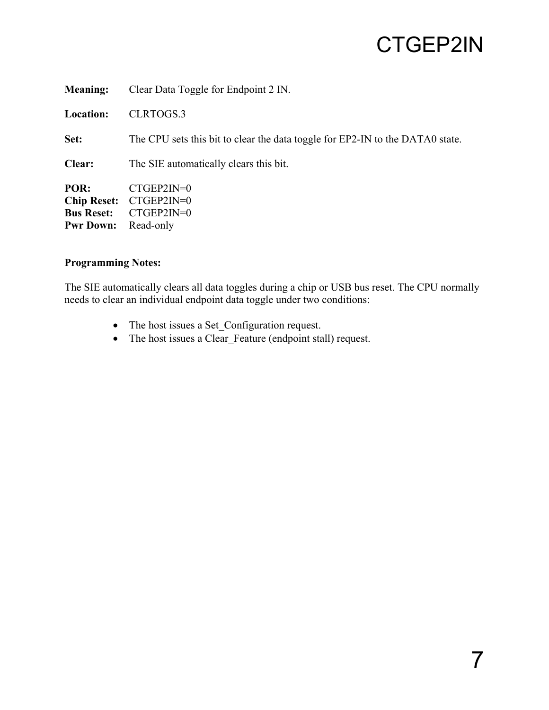| <b>Meaning:</b>                                                     | Clear Data Toggle for Endpoint 2 IN.                                          |
|---------------------------------------------------------------------|-------------------------------------------------------------------------------|
| <b>Location:</b>                                                    | CLRTOGS.3                                                                     |
| Set:                                                                | The CPU sets this bit to clear the data toggle for EP2-IN to the DATA0 state. |
| Clear:                                                              | The SIE automatically clears this bit.                                        |
| POR:<br><b>Chip Reset:</b><br><b>Bus Reset:</b><br><b>Pwr Down:</b> | $CTGEP2IN=0$<br>$CTGEP2IN=0$<br>$CTGEP2IN=0$<br>Read-only                     |

The SIE automatically clears all data toggles during a chip or USB bus reset. The CPU normally needs to clear an individual endpoint data toggle under two conditions:

- The host issues a Set\_Configuration request.
- <span id="page-10-0"></span>• The host issues a Clear\_Feature (endpoint stall) request.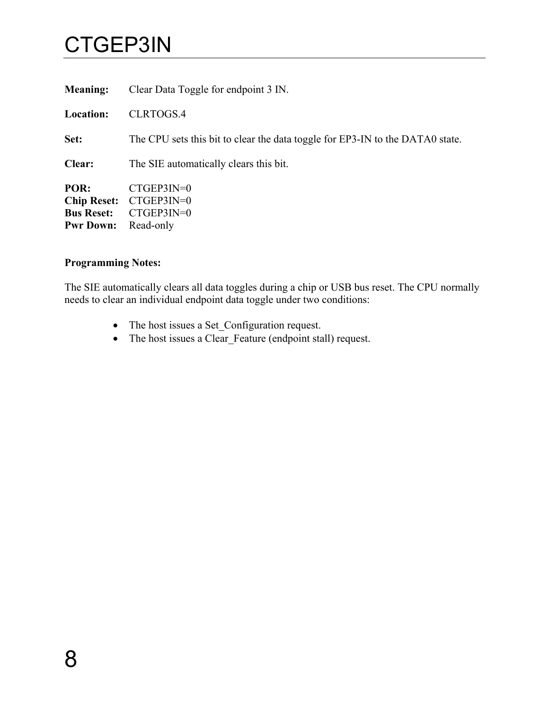### CTGEP3IN

<span id="page-11-0"></span>

| <b>Meaning:</b>                                                     | Clear Data Toggle for endpoint 3 IN.                                          |
|---------------------------------------------------------------------|-------------------------------------------------------------------------------|
| <b>Location:</b>                                                    | CLRTOGS.4                                                                     |
| Set:                                                                | The CPU sets this bit to clear the data toggle for EP3-IN to the DATA0 state. |
| Clear:                                                              | The SIE automatically clears this bit.                                        |
| POR:<br><b>Chip Reset:</b><br><b>Bus Reset:</b><br><b>Pwr Down:</b> | $CTGEP3IN=0$<br>$CTGEP3IN=0$<br>$CTGEP3IN=0$<br>Read-only                     |

#### **Programming Notes:**

The SIE automatically clears all data toggles during a chip or USB bus reset. The CPU normally needs to clear an individual endpoint data toggle under two conditions:

- The host issues a Set\_Configuration request.
- The host issues a Clear\_Feature (endpoint stall) request.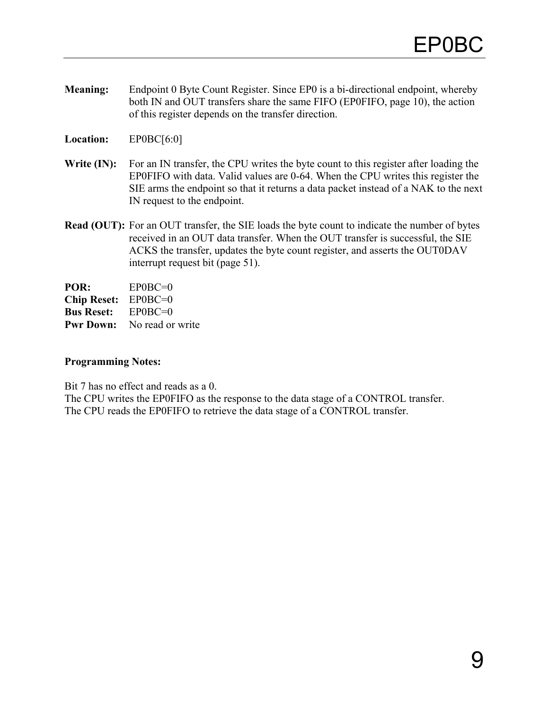- <span id="page-12-1"></span>**Meaning:** Endpoint 0 Byte Count Register. Since EP0 is a bi-directional endpoint, whereby both IN and OUT transfers share the same FIFO (EP0FIFO, page [10\)](#page-13-1), the action of this register depends on the transfer direction.
- **Location:** EP0BC[6:0]
- Write (IN): For an IN transfer, the CPU writes the byte count to this register after loading the EP0FIFO with data. Valid values are 0-64. When the CPU writes this register the SIE arms the endpoint so that it returns a data packet instead of a NAK to the next IN request to the endpoint.
- **Read (OUT):** For an OUT transfer, the SIE loads the byte count to indicate the number of bytes received in an OUT data transfer. When the OUT transfer is successful, the SIE ACKS the transfer, updates the byte count register, and asserts the OUT0DAV interrupt request bit (page [51\)](#page-54-1).

**POR:** EP0BC=0 **Chip Reset:** EP0BC=0 **Bus Reset:** EP0BC=0 **Pwr Down:** No read or write

#### **Programming Notes:**

Bit 7 has no effect and reads as a 0.

<span id="page-12-0"></span>The CPU writes the EP0FIFO as the response to the data stage of a CONTROL transfer. The CPU reads the EP0FIFO to retrieve the data stage of a CONTROL transfer.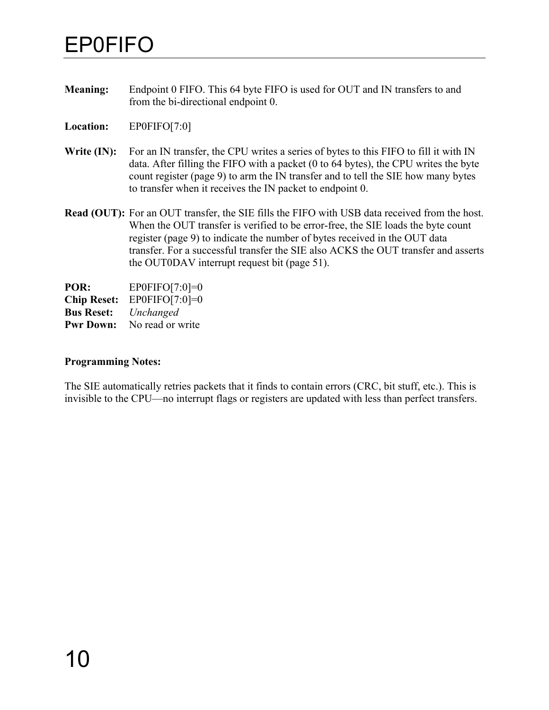### <span id="page-13-1"></span>EP0FIFO

- <span id="page-13-0"></span>**Meaning:** Endpoint 0 FIFO. This 64 byte FIFO is used for OUT and IN transfers to and from the bi-directional endpoint 0.
- **Location:** EP0FIFO[7:0]
- Write (IN): For an IN transfer, the CPU writes a series of bytes to this FIFO to fill it with IN data. After filling the FIFO with a packet (0 to 64 bytes), the CPU writes the byte count register (page [9\)](#page-12-1) to arm the IN transfer and to tell the SIE how many bytes to transfer when it receives the IN packet to endpoint 0.
- **Read (OUT):** For an OUT transfer, the SIE fills the FIFO with USB data received from the host. When the OUT transfer is verified to be error-free, the SIE loads the byte count register (page [9\)](#page-12-1) to indicate the number of bytes received in the OUT data transfer. For a successful transfer the SIE also ACKS the OUT transfer and asserts the OUT0DAV interrupt request bit (page [51\)](#page-54-1).

**POR:** EP0FIFO[7:0]=0 **Chip Reset:** EP0FIFO[7:0]=0 **Bus Reset:** *Unchanged* **Pwr Down:** No read or write

#### **Programming Notes:**

The SIE automatically retries packets that it finds to contain errors (CRC, bit stuff, etc.). This is invisible to the CPU—no interrupt flags or registers are updated with less than perfect transfers.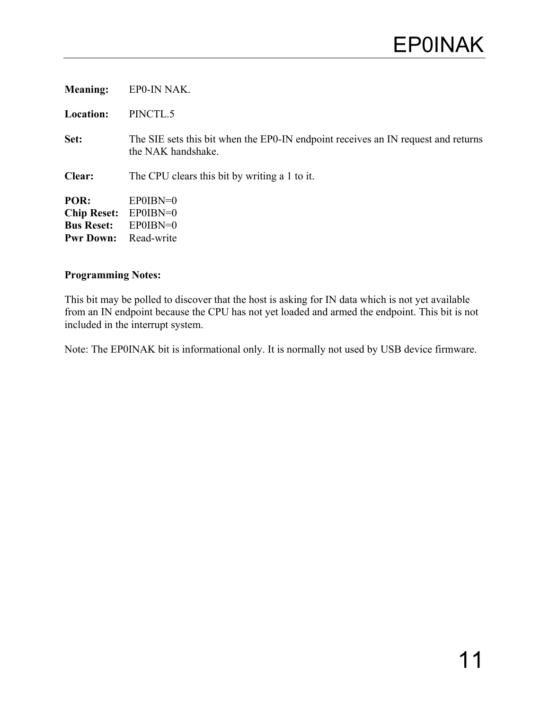| <b>Meaning:</b>                                                     | EPO-IN NAK.                                                                                             |
|---------------------------------------------------------------------|---------------------------------------------------------------------------------------------------------|
| <b>Location:</b>                                                    | PINCTL.5                                                                                                |
| Set:                                                                | The SIE sets this bit when the EPO-IN endpoint receives an IN request and returns<br>the NAK handshake. |
| Clear:                                                              | The CPU clears this bit by writing a 1 to it.                                                           |
| POR:<br><b>Chip Reset:</b><br><b>Bus Reset:</b><br><b>Pwr Down:</b> | $EPOIBN=0$<br>$EPOIBN=0$<br>$EPOIBN=0$<br>Read-write                                                    |

This bit may be polled to discover that the host is asking for IN data which is not yet available from an IN endpoint because the CPU has not yet loaded and armed the endpoint. This bit is not included in the interrupt system.

<span id="page-14-0"></span>Note: The EP0INAK bit is informational only. It is normally not used by USB device firmware.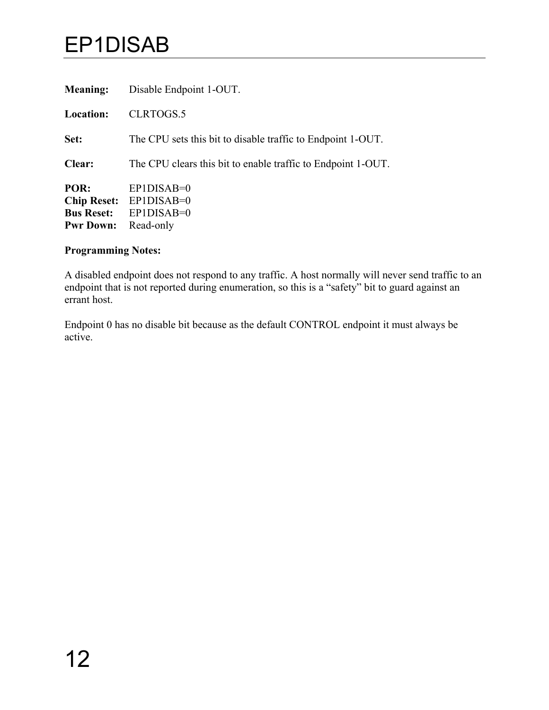### EP1DISAB

<span id="page-15-0"></span>

| <b>Meaning:</b>                                                     | Disable Endpoint 1-OUT.                                      |
|---------------------------------------------------------------------|--------------------------------------------------------------|
| <b>Location:</b>                                                    | CLRTOGS.5                                                    |
| Set:                                                                | The CPU sets this bit to disable traffic to Endpoint 1-OUT.  |
| Clear:                                                              | The CPU clears this bit to enable traffic to Endpoint 1-OUT. |
| POR:<br><b>Chip Reset:</b><br><b>Bus Reset:</b><br><b>Pwr Down:</b> | $EP1DISAB=0$<br>$EP1DISAB=0$<br>$EP1DISAB=0$<br>Read-only    |

#### **Programming Notes:**

A disabled endpoint does not respond to any traffic. A host normally will never send traffic to an endpoint that is not reported during enumeration, so this is a "safety" bit to guard against an errant host.

Endpoint 0 has no disable bit because as the default CONTROL endpoint it must always be active.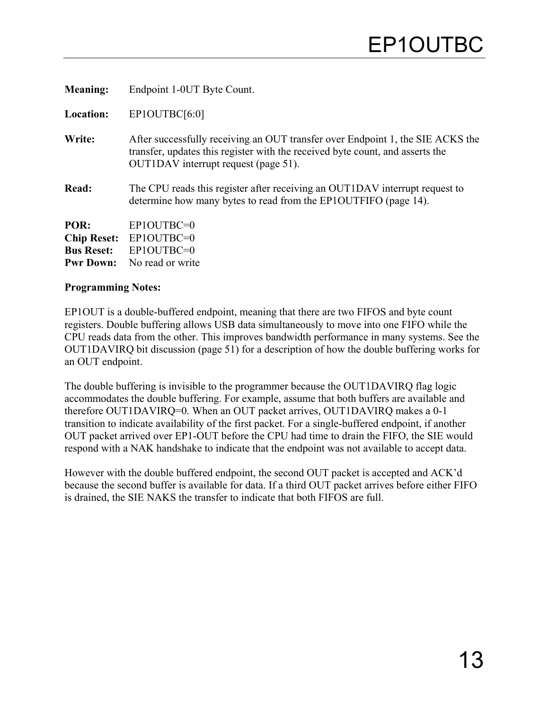<span id="page-16-1"></span>

| <b>Meaning:</b>    | Endpoint 1-0UT Byte Count.                                                                                                                                                                              |
|--------------------|---------------------------------------------------------------------------------------------------------------------------------------------------------------------------------------------------------|
| <b>Location:</b>   | EP1OUTBC[6:0]                                                                                                                                                                                           |
| Write:             | After successfully receiving an OUT transfer over Endpoint 1, the SIE ACKS the<br>transfer, updates this register with the received byte count, and asserts the<br>OUTIDAV interrupt request (page 51). |
| Read:              | The CPU reads this register after receiving an OUT1DAV interrupt request to<br>determine how many bytes to read from the EP1OUTFIFO (page 14).                                                          |
| POR:               | $EP1OUTBC=0$                                                                                                                                                                                            |
| <b>Chip Reset:</b> | $EP1OUTBC=0$                                                                                                                                                                                            |
| <b>Bus Reset:</b>  | EP1OUTBC=0                                                                                                                                                                                              |
| <b>Pwr Down:</b>   | No read or write                                                                                                                                                                                        |

EP1OUT is a double-buffered endpoint, meaning that there are two FIFOS and byte count registers. Double buffering allows USB data simultaneously to move into one FIFO while the CPU reads data from the other. This improves bandwidth performance in many systems. See the OUT1DAVIRQ bit discussion (page [51\)](#page-54-1) for a description of how the double buffering works for an OUT endpoint.

<span id="page-16-0"></span>The double buffering is invisible to the programmer because the OUT1DAVIRQ flag logic accommodates the double buffering. For example, assume that both buffers are available and therefore OUT1DAVIRQ=0. When an OUT packet arrives, OUT1DAVIRQ makes a 0-1 transition to indicate availability of the first packet. For a single-buffered endpoint, if another OUT packet arrived over EP1-OUT before the CPU had time to drain the FIFO, the SIE would respond with a NAK handshake to indicate that the endpoint was not available to accept data.

However with the double buffered endpoint, the second OUT packet is accepted and ACK'd because the second buffer is available for data. If a third OUT packet arrives before either FIFO is drained, the SIE NAKS the transfer to indicate that both FIFOS are full.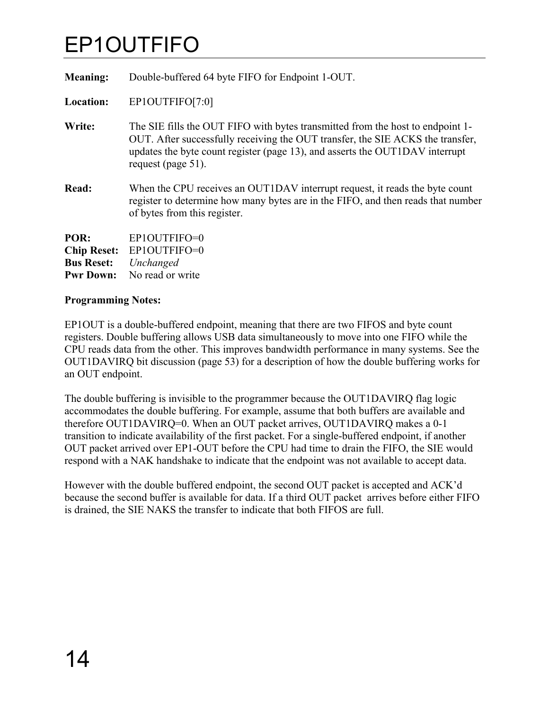### <span id="page-17-1"></span>EP1OUTFIFO

<span id="page-17-0"></span>

| <b>Meaning:</b>                                              | Double-buffered 64 byte FIFO for Endpoint 1-OUT.                                                                                                                                                                                                                          |
|--------------------------------------------------------------|---------------------------------------------------------------------------------------------------------------------------------------------------------------------------------------------------------------------------------------------------------------------------|
| Location:                                                    | EP1OUTFIFO[7:0]                                                                                                                                                                                                                                                           |
| Write:                                                       | The SIE fills the OUT FIFO with bytes transmitted from the host to endpoint 1-<br>OUT. After successfully receiving the OUT transfer, the SIE ACKS the transfer,<br>updates the byte count register (page 13), and asserts the OUT1DAV interrupt<br>request (page $51$ ). |
| Read:                                                        | When the CPU receives an OUT1DAV interrupt request, it reads the byte count<br>register to determine how many bytes are in the FIFO, and then reads that number<br>of bytes from this register.                                                                           |
| POR:<br><b>Chip Reset:</b><br><b>Bus Reset:</b><br>Pwr Down: | EP1OUTFIFO=0<br>EP1OUTFIFO=0<br>Unchanged<br>No read or write                                                                                                                                                                                                             |

#### **Programming Notes:**

EP1OUT is a double-buffered endpoint, meaning that there are two FIFOS and byte count registers. Double buffering allows USB data simultaneously to move into one FIFO while the CPU reads data from the other. This improves bandwidth performance in many systems. See the OUT1DAVIRQ bit discussion (page [53\)](#page-56-1) for a description of how the double buffering works for an OUT endpoint.

The double buffering is invisible to the programmer because the OUT1DAVIRQ flag logic accommodates the double buffering. For example, assume that both buffers are available and therefore OUT1DAVIRQ=0. When an OUT packet arrives, OUT1DAVIRQ makes a 0-1 transition to indicate availability of the first packet. For a single-buffered endpoint, if another OUT packet arrived over EP1-OUT before the CPU had time to drain the FIFO, the SIE would respond with a NAK handshake to indicate that the endpoint was not available to accept data.

However with the double buffered endpoint, the second OUT packet is accepted and ACK'd because the second buffer is available for data. If a third OUT packet arrives before either FIFO is drained, the SIE NAKS the transfer to indicate that both FIFOS are full.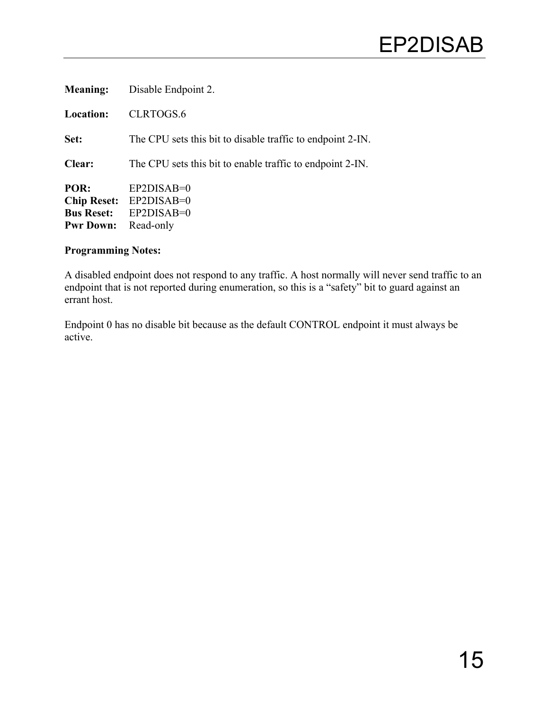| <b>Meaning:</b>                                                     | Disable Endpoint 2.                                        |
|---------------------------------------------------------------------|------------------------------------------------------------|
| <b>Location:</b>                                                    | CLRTOGS.6                                                  |
| Set:                                                                | The CPU sets this bit to disable traffic to endpoint 2-IN. |
| <b>Clear:</b>                                                       | The CPU sets this bit to enable traffic to endpoint 2-IN.  |
| POR:<br><b>Chip Reset:</b><br><b>Bus Reset:</b><br><b>Pwr Down:</b> | $EP2DISAB=0$<br>$EP2DISAB=0$<br>$EP2DISAB=0$<br>Read-only  |

A disabled endpoint does not respond to any traffic. A host normally will never send traffic to an endpoint that is not reported during enumeration, so this is a "safety" bit to guard against an errant host.

<span id="page-18-0"></span>Endpoint 0 has no disable bit because as the default CONTROL endpoint it must always be active.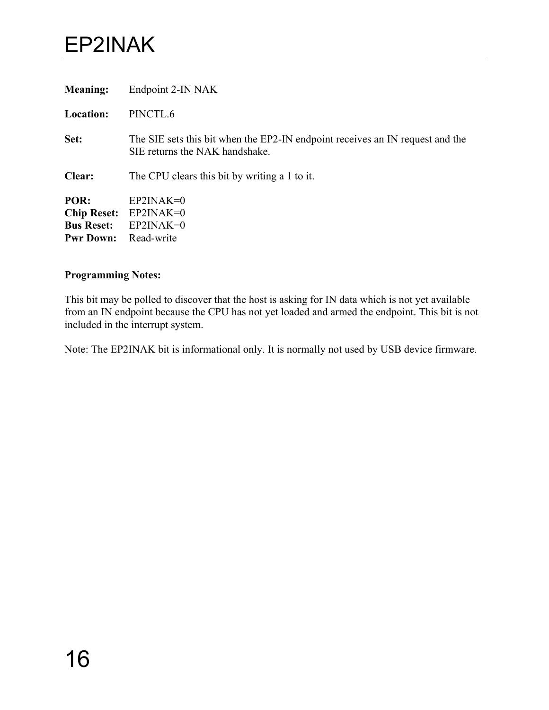### EP2INAK

<span id="page-19-0"></span>

| <b>Meaning:</b>                                                     | Endpoint 2-IN NAK                                                                                               |
|---------------------------------------------------------------------|-----------------------------------------------------------------------------------------------------------------|
| <b>Location:</b>                                                    | PINCTL.6                                                                                                        |
| Set:                                                                | The SIE sets this bit when the EP2-IN endpoint receives an IN request and the<br>SIE returns the NAK handshake. |
| Clear:                                                              | The CPU clears this bit by writing a 1 to it.                                                                   |
| POR:<br><b>Chip Reset:</b><br><b>Bus Reset:</b><br><b>Pwr Down:</b> | $EP2INAK=0$<br>$EP2INAK=0$<br>$EP2INAK=0$<br>Read-write                                                         |

#### **Programming Notes:**

This bit may be polled to discover that the host is asking for IN data which is not yet available from an IN endpoint because the CPU has not yet loaded and armed the endpoint. This bit is not included in the interrupt system.

Note: The EP2INAK bit is informational only. It is normally not used by USB device firmware.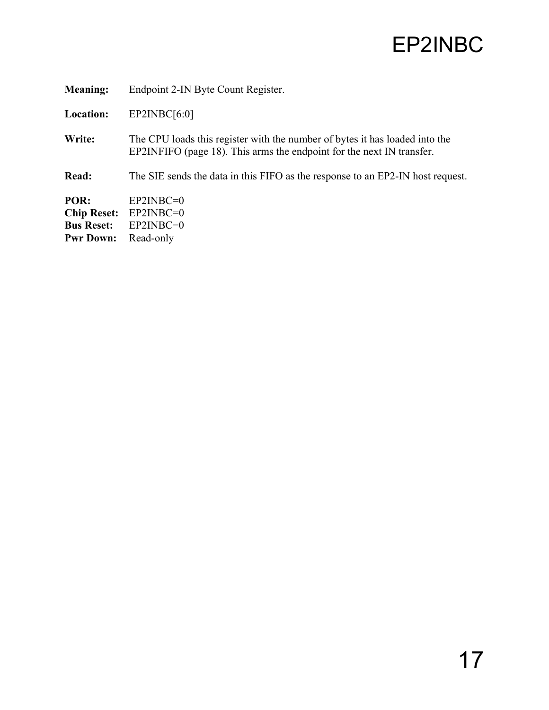<span id="page-20-0"></span>

| <b>Meaning:</b>    | Endpoint 2-IN Byte Count Register.                                                                                                                   |
|--------------------|------------------------------------------------------------------------------------------------------------------------------------------------------|
| <b>Location:</b>   | EP2INBC[6:0]                                                                                                                                         |
| Write:             | The CPU loads this register with the number of bytes it has loaded into the<br>EP2INFIFO (page 18). This arms the endpoint for the next IN transfer. |
| <b>Read:</b>       | The SIE sends the data in this FIFO as the response to an EP2-IN host request.                                                                       |
| POR:               | $EP2INBC=0$                                                                                                                                          |
| <b>Chip Reset:</b> | $EP2INBC=0$                                                                                                                                          |
| <b>Bus Reset:</b>  | $EP2INBC=0$                                                                                                                                          |
| <b>Pwr Down:</b>   | Read-only                                                                                                                                            |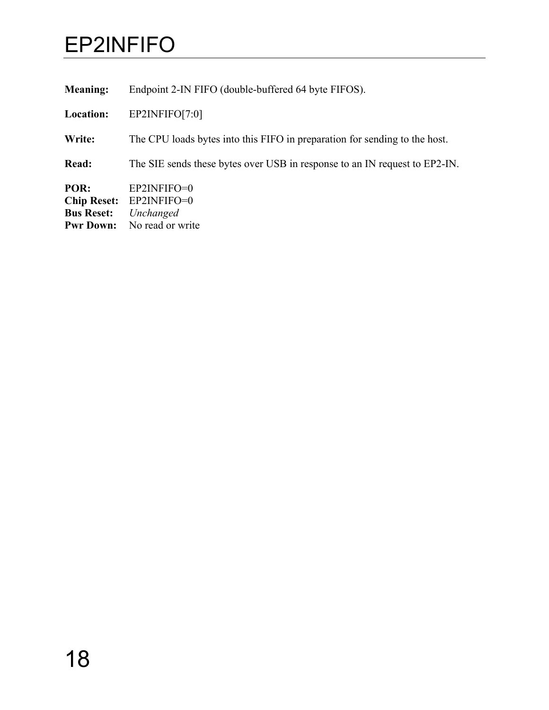### <span id="page-21-1"></span>EP2INFIFO

<span id="page-21-0"></span>**Meaning:** Endpoint 2-IN FIFO (double-buffered 64 byte FIFOS).

**Location:** EP2INFIFO[7:0]

**Write:** The CPU loads bytes into this FIFO in preparation for sending to the host.

**Read:** The SIE sends these bytes over USB in response to an IN request to EP2-IN.

**POR:** EP2INFIFO=0 **Chip Reset:** EP2INFIFO=0<br>**Bus Reset:** *Unchanged* **Bus Reset:** *Unchanged* **Pwr Down:** No read or write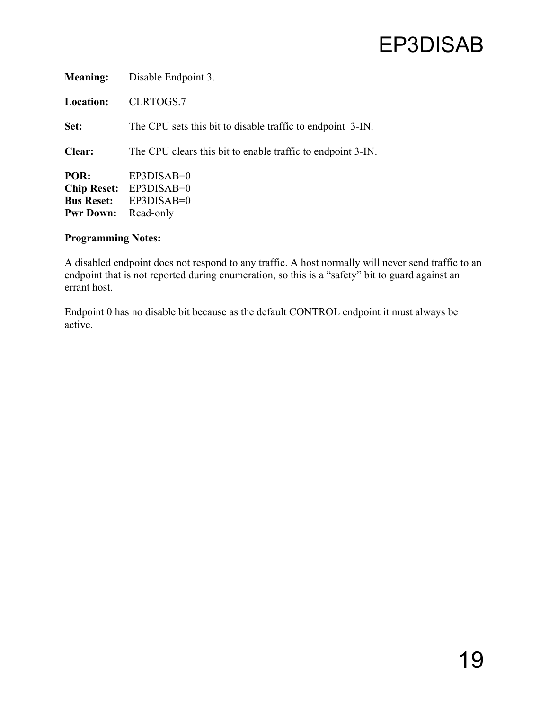| <b>Meaning:</b>                                                     | Disable Endpoint 3.                                         |
|---------------------------------------------------------------------|-------------------------------------------------------------|
| <b>Location:</b>                                                    | CLRTOGS.7                                                   |
| Set:                                                                | The CPU sets this bit to disable traffic to endpoint 3-IN.  |
| <b>Clear:</b>                                                       | The CPU clears this bit to enable traffic to endpoint 3-IN. |
| POR:<br><b>Chip Reset:</b><br><b>Bus Reset:</b><br><b>Pwr Down:</b> | $EP3DISAB=0$<br>EP3DISAB=0<br>EP3DISAB=0<br>Read-only       |

A disabled endpoint does not respond to any traffic. A host normally will never send traffic to an endpoint that is not reported during enumeration, so this is a "safety" bit to guard against an errant host.

<span id="page-22-0"></span>Endpoint 0 has no disable bit because as the default CONTROL endpoint it must always be active.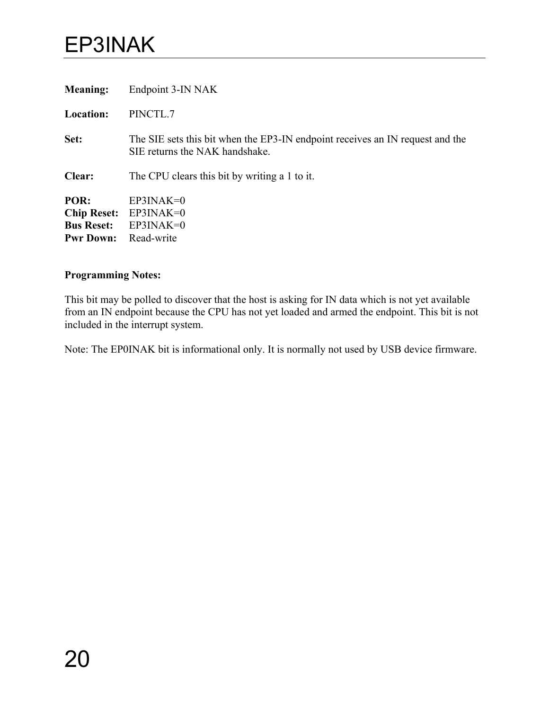### EP3INAK

<span id="page-23-0"></span>

| <b>Meaning:</b>                                                     | Endpoint 3-IN NAK                                                                                               |
|---------------------------------------------------------------------|-----------------------------------------------------------------------------------------------------------------|
| <b>Location:</b>                                                    | PINCTL.7                                                                                                        |
| Set:                                                                | The SIE sets this bit when the EP3-IN endpoint receives an IN request and the<br>SIE returns the NAK handshake. |
| Clear:                                                              | The CPU clears this bit by writing a 1 to it.                                                                   |
| POR:<br><b>Chip Reset:</b><br><b>Bus Reset:</b><br><b>Pwr Down:</b> | $EP3INAK=0$<br>$EP3INAK=0$<br>$EP3INAK=0$<br>Read-write                                                         |

#### **Programming Notes:**

This bit may be polled to discover that the host is asking for IN data which is not yet available from an IN endpoint because the CPU has not yet loaded and armed the endpoint. This bit is not included in the interrupt system.

Note: The EP0INAK bit is informational only. It is normally not used by USB device firmware.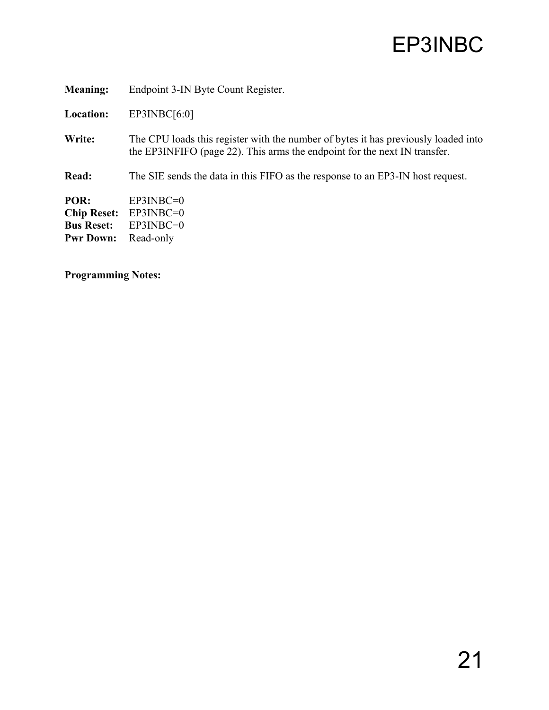**Meaning:** Endpoint 3-IN Byte Count Register.

**Location:** EP3INBC[6:0]

Write: The CPU loads this register with the number of bytes it has previously loaded into the EP3INFIFO (page [22\)](#page-25-1). This arms the endpoint for the next IN transfer.

**Read:** The SIE sends the data in this FIFO as the response to an EP3-IN host request.

**POR:** EP3INBC=0 **Chip Reset:** EP3INBC=0 **Bus Reset:** EP3INBC=0 **Pwr Down:** Read-only

<span id="page-24-0"></span>**Programming Notes:**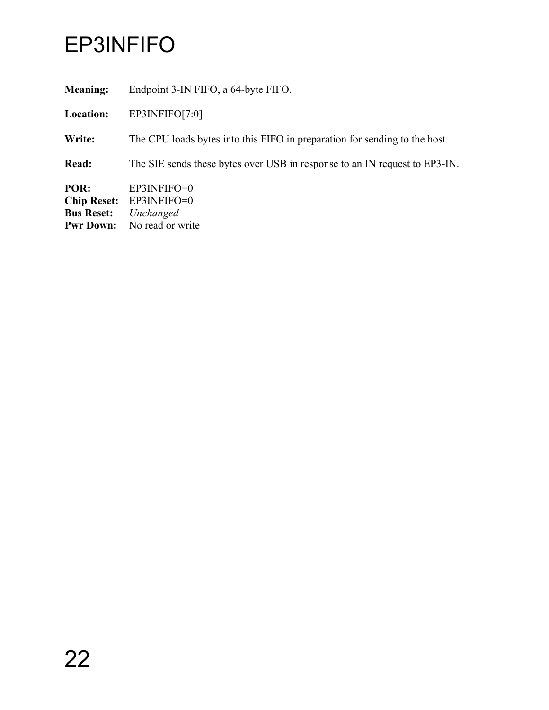### <span id="page-25-1"></span>EP3INFIFO

<span id="page-25-0"></span>**Meaning:** Endpoint 3-IN FIFO, a 64-byte FIFO.

**Location:** EP3INFIFO[7:0]

**Write:** The CPU loads bytes into this FIFO in preparation for sending to the host.

**Read:** The SIE sends these bytes over USB in response to an IN request to EP3-IN.

**POR:** EP3INFIFO=0<br>**Chip Reset:** EP3INFIFO=0 **Chip Reset:** EP3INFIFO=0<br>**Bus Reset:** *Unchanged* **Bus Reset:** *Unchanged* **Pwr Down:** No read or write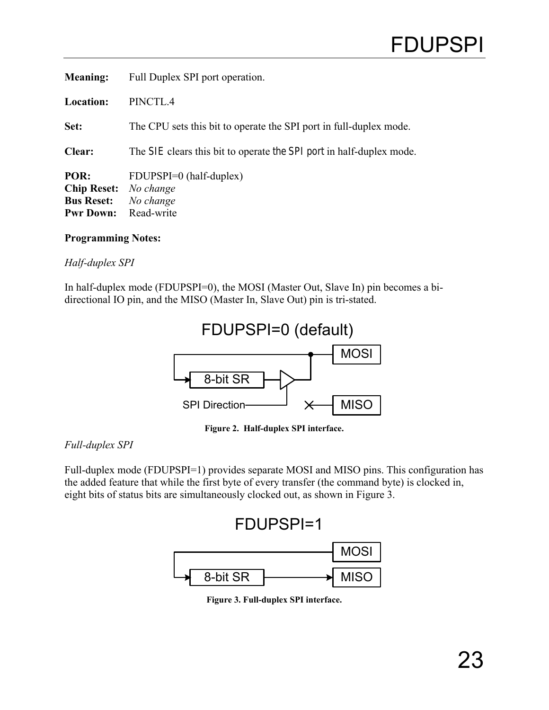| <b>Meaning:</b>                                                     | Full Duplex SPI port operation.                                      |
|---------------------------------------------------------------------|----------------------------------------------------------------------|
| <b>Location:</b>                                                    | PINCTL.4                                                             |
| Set:                                                                | The CPU sets this bit to operate the SPI port in full-duplex mode.   |
| <b>Clear:</b>                                                       | The SIE clears this bit to operate the SPI port in half-duplex mode. |
| POR:<br><b>Chip Reset:</b><br><b>Bus Reset:</b><br><b>Pwr Down:</b> | FDUPSPI=0 (half-duplex)<br>No change<br>No change<br>Read-write      |

#### *Half-duplex SPI*

In half-duplex mode (FDUPSPI=0), the MOSI (Master Out, Slave In) pin becomes a bidirectional IO pin, and the MISO (Master In, Slave Out) pin is tri-stated.



<span id="page-26-0"></span>**Figure 2. Half-duplex SPI interface.** 

#### *Full-duplex SPI*

Full-duplex mode (FDUPSPI=1) provides separate MOSI and MISO pins. This configuration has the added feature that while the first byte of every transfer (the command byte) is clocked in, eight bits of status bits are simultaneously clocked out, as shown in [Figure 3.](#page-26-1)

<span id="page-26-1"></span>

**Figure 3. Full-duplex SPI interface.**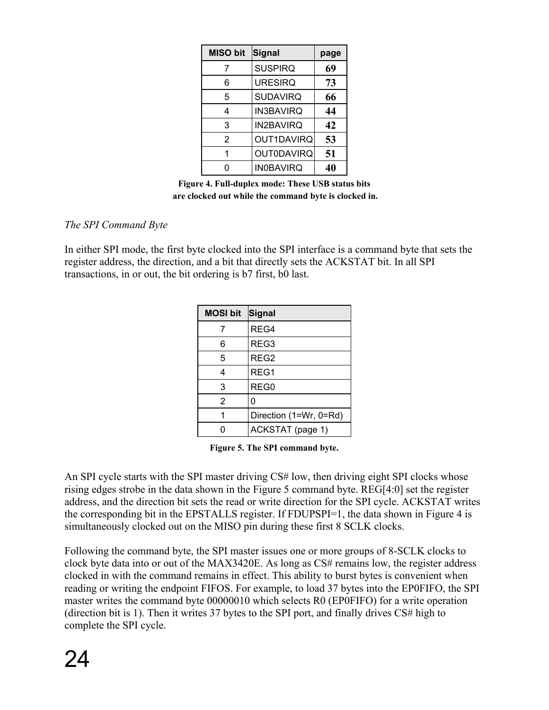| <b>MISO bit</b> | Signal            | page |
|-----------------|-------------------|------|
| 7               | <b>SUSPIRQ</b>    | 69   |
| 6               | <b>URESIRQ</b>    | 73   |
| 5               | <b>SUDAVIRQ</b>   | 66   |
| 4               | <b>IN3BAVIRQ</b>  | 44   |
| 3               | <b>IN2BAVIRQ</b>  | 42   |
| 2               | OUT1DAVIRQ        | 53   |
|                 | <b>OUT0DAVIRQ</b> | 51   |
|                 | <b>IN0BAVIRQ</b>  | 40   |

<span id="page-27-1"></span>**Figure 4. Full-duplex mode: These USB status bits are clocked out while the command byte is clocked in.** 

### *The SPI Command Byte*

In either SPI mode, the first byte clocked into the SPI interface is a command byte that sets the register address, the direction, and a bit that directly sets the ACKSTAT bit. In all SPI transactions, in or out, the bit ordering is b7 first, b0 last.

| <b>MOSI bit</b> | Signal                 |
|-----------------|------------------------|
| 7               | REG4                   |
| 6               | REG3                   |
| 5               | REG2                   |
| 4               | REG1                   |
| 3               | REG0                   |
| 2               | 0                      |
|                 | Direction (1=Wr, 0=Rd) |
|                 | ACKSTAT (page 1)       |

<span id="page-27-0"></span>**Figure 5. The SPI command byte.** 

An SPI cycle starts with the SPI master driving CS# low, then driving eight SPI clocks whose rising edges strobe in the data shown in the [Figure 5](#page-27-0) command byte. REG[4:0] set the register address, and the direction bit sets the read or write direction for the SPI cycle. ACKSTAT writes the corresponding bit in the EPSTALLS register. If FDUPSPI=1, the data shown in [Figure 4](#page-27-1) is simultaneously clocked out on the MISO pin during these first 8 SCLK clocks.

Following the command byte, the SPI master issues one or more groups of 8-SCLK clocks to clock byte data into or out of the MAX3420E. As long as CS# remains low, the register address clocked in with the command remains in effect. This ability to burst bytes is convenient when reading or writing the endpoint FIFOS. For example, to load 37 bytes into the EP0FIFO, the SPI master writes the command byte 00000010 which selects R0 (EP0FIFO) for a write operation (direction bit is 1). Then it writes 37 bytes to the SPI port, and finally drives CS# high to complete the SPI cycle.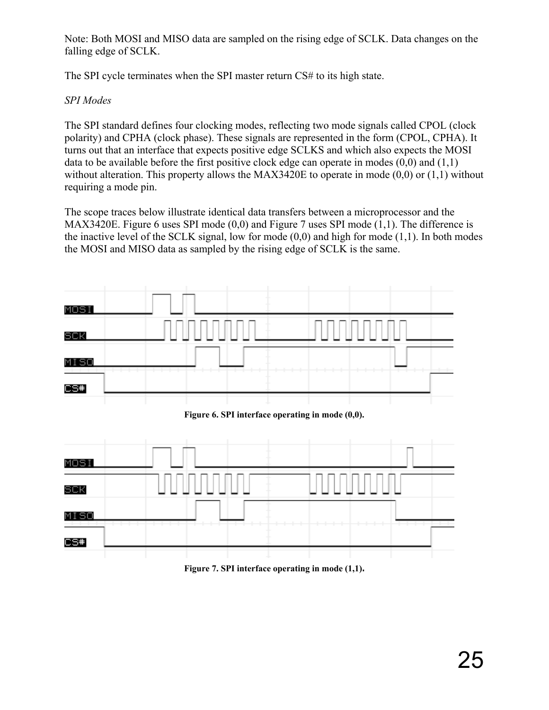Note: Both MOSI and MISO data are sampled on the rising edge of SCLK. Data changes on the falling edge of SCLK.

The SPI cycle terminates when the SPI master return CS# to its high state.

### *SPI Modes*

The SPI standard defines four clocking modes, reflecting two mode signals called CPOL (clock polarity) and CPHA (clock phase). These signals are represented in the form (CPOL, CPHA). It turns out that an interface that expects positive edge SCLKS and which also expects the MOSI data to be available before the first positive clock edge can operate in modes  $(0,0)$  and  $(1,1)$ without alteration. This property allows the MAX3420E to operate in mode  $(0,0)$  or  $(1,1)$  without requiring a mode pin.

The scope traces below illustrate identical data transfers between a microprocessor and the MAX3420E. [Figure 6](#page-28-0) uses SPI mode (0,0) and [Figure 7](#page-28-1) uses SPI mode (1,1). The difference is the inactive level of the SCLK signal, low for mode  $(0,0)$  and high for mode  $(1,1)$ . In both modes the MOSI and MISO data as sampled by the rising edge of SCLK is the same.

<span id="page-28-0"></span>

<span id="page-28-1"></span>**Figure 7. SPI interface operating in mode (1,1).**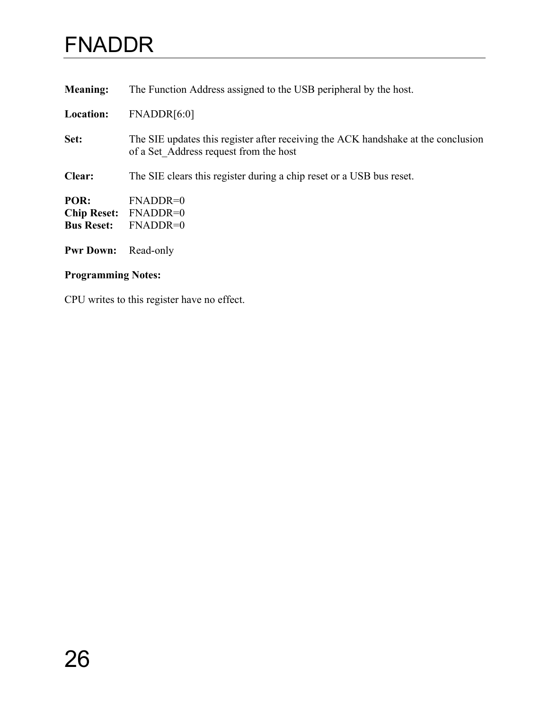### FNADDR

<span id="page-29-0"></span>

| <b>Meaning:</b>                                 | The Function Address assigned to the USB peripheral by the host.                                                            |
|-------------------------------------------------|-----------------------------------------------------------------------------------------------------------------------------|
| <b>Location:</b>                                | FNADDR[6:0]                                                                                                                 |
| Set:                                            | The SIE updates this register after receiving the ACK handshake at the conclusion<br>of a Set Address request from the host |
| Clear:                                          | The SIE clears this register during a chip reset or a USB bus reset.                                                        |
| POR:<br><b>Chip Reset:</b><br><b>Bus Reset:</b> | $FNADDR=0$<br>FNADDR=0<br>FNADDR=0                                                                                          |
| <b>Pwr Down:</b>                                | Read-only                                                                                                                   |

### **Programming Notes:**

CPU writes to this register have no effect.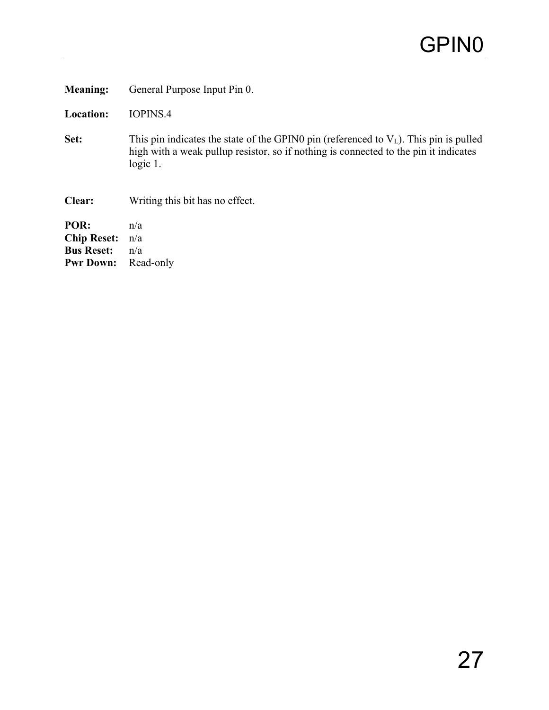**Meaning:** General Purpose Input Pin 0.

**Location:** IOPINS.4

**Set:** This pin indicates the state of the GPIN0 pin (referenced to  $V_L$ ). This pin is pulled high with a weak pullup resistor, so if nothing is connected to the pin it indicates logic 1.

**Clear:** Writing this bit has no effect.

<span id="page-30-0"></span>**POR:** n/a **Chip Reset:** n/a **Bus Reset:**  $n/a$ <br>**Pwr Down:** Read-only **Pwr Down:**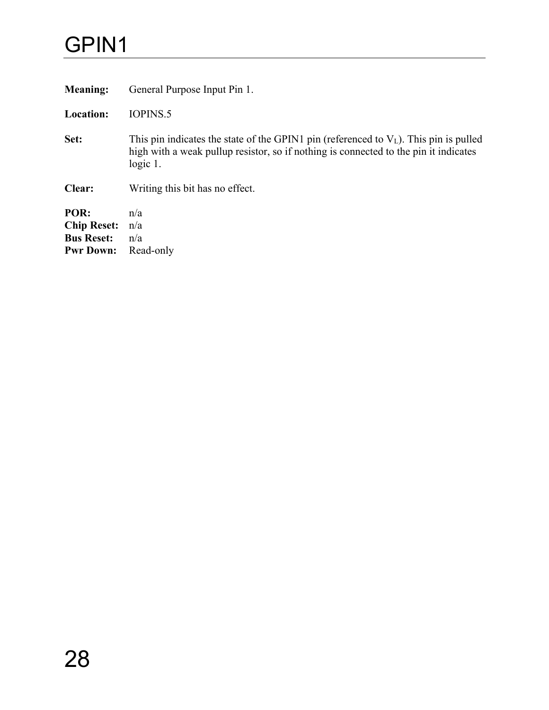### GPIN1

<span id="page-31-0"></span>

| <b>Meaning:</b>                                                     | General Purpose Input Pin 1.                                                                                                                                                                    |
|---------------------------------------------------------------------|-------------------------------------------------------------------------------------------------------------------------------------------------------------------------------------------------|
| <b>Location:</b>                                                    | IOPINS.5                                                                                                                                                                                        |
| Set:                                                                | This pin indicates the state of the GPIN1 pin (referenced to $V_L$ ). This pin is pulled<br>high with a weak pullup resistor, so if nothing is connected to the pin it indicates<br>$logic 1$ . |
| Clear:                                                              | Writing this bit has no effect.                                                                                                                                                                 |
| POR:<br><b>Chip Reset:</b><br><b>Bus Reset:</b><br><b>Pwr Down:</b> | n/a<br>n/a<br>n/a<br>Read-only                                                                                                                                                                  |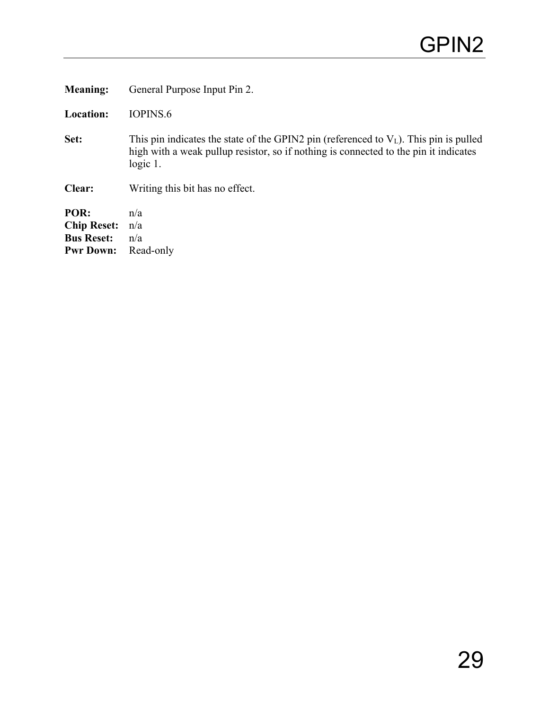<span id="page-32-0"></span>

| <b>Meaning:</b>                                                     | General Purpose Input Pin 2.                                                                                                                                                                   |
|---------------------------------------------------------------------|------------------------------------------------------------------------------------------------------------------------------------------------------------------------------------------------|
| <b>Location:</b>                                                    | IOPINS.6                                                                                                                                                                                       |
| Set:                                                                | This pin indicates the state of the GPIN2 pin (referenced to $VL$ ). This pin is pulled<br>high with a weak pullup resistor, so if nothing is connected to the pin it indicates<br>$logic 1$ . |
| Clear:                                                              | Writing this bit has no effect.                                                                                                                                                                |
| POR:<br><b>Chip Reset:</b><br><b>Bus Reset:</b><br><b>Pwr Down:</b> | n/a<br>n/a<br>n/a<br>Read-only                                                                                                                                                                 |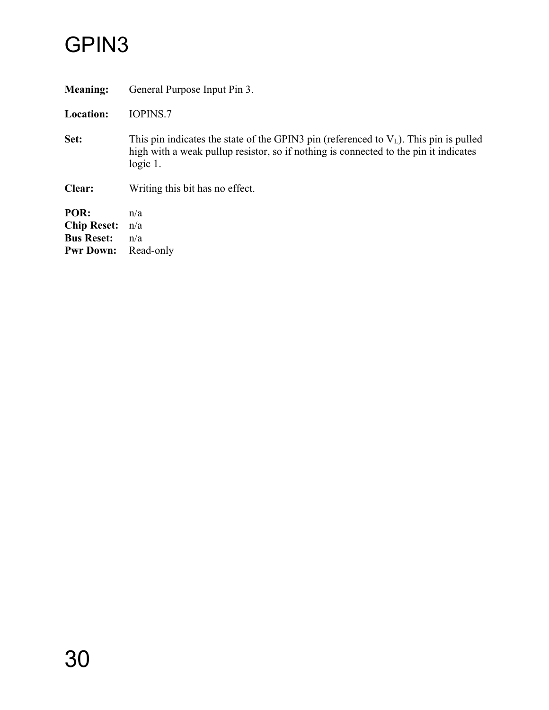### GPIN3

<span id="page-33-0"></span>

| <b>Meaning:</b>                                                     | General Purpose Input Pin 3.                                                                                                                                                                    |
|---------------------------------------------------------------------|-------------------------------------------------------------------------------------------------------------------------------------------------------------------------------------------------|
| <b>Location:</b>                                                    | <b>IOPINS.7</b>                                                                                                                                                                                 |
| Set:                                                                | This pin indicates the state of the GPIN3 pin (referenced to $V_L$ ). This pin is pulled<br>high with a weak pullup resistor, so if nothing is connected to the pin it indicates<br>$logic 1$ . |
| Clear:                                                              | Writing this bit has no effect.                                                                                                                                                                 |
| POR:<br><b>Chip Reset:</b><br><b>Bus Reset:</b><br><b>Pwr Down:</b> | n/a<br>n/a<br>n/a<br>Read-only                                                                                                                                                                  |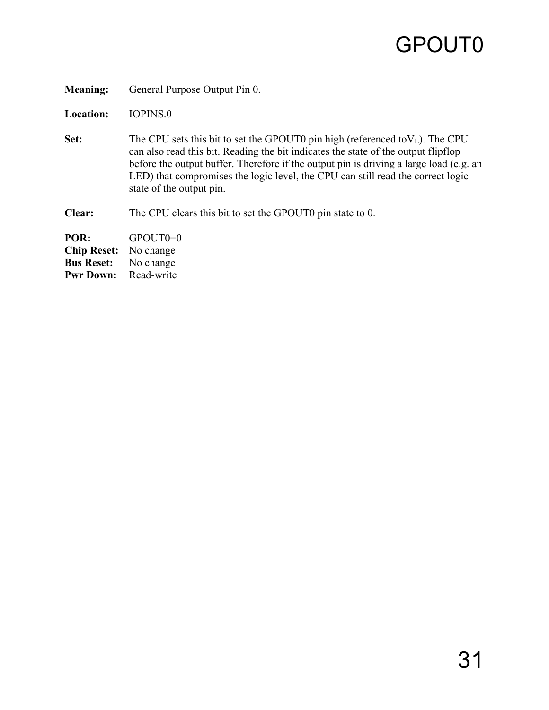**Meaning:** General Purpose Output Pin 0.

**Location:** IOPINS.0

- **Set:** The CPU sets this bit to set the GPOUT0 pin high (referenced to $V_L$ ). The CPU can also read this bit. Reading the bit indicates the state of the output flipflop before the output buffer. Therefore if the output pin is driving a large load (e.g. an LED) that compromises the logic level, the CPU can still read the correct logic state of the output pin.
- **Clear:** The CPU clears this bit to set the GPOUT0 pin state to 0.

<span id="page-34-0"></span>**POR:** GPOUT0=0 **Chip Reset:** No change **Bus Reset:** No change<br>**Pwr Down:** Read-write **Pwr Down:**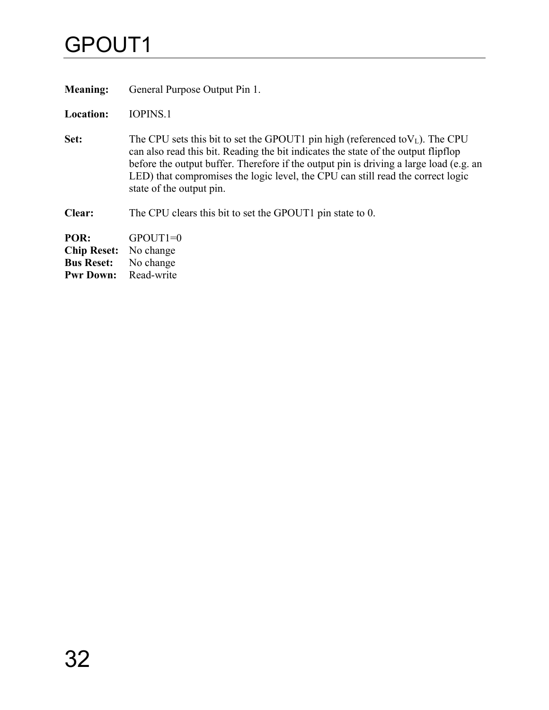### GPOUT1

<span id="page-35-0"></span>**Meaning:** General Purpose Output Pin 1.

**Location:** IOPINS.1

- **Set:** The CPU sets this bit to set the GPOUT1 pin high (referenced to $V_L$ ). The CPU can also read this bit. Reading the bit indicates the state of the output flipflop before the output buffer. Therefore if the output pin is driving a large load (e.g. an LED) that compromises the logic level, the CPU can still read the correct logic state of the output pin.
- **Clear:** The CPU clears this bit to set the GPOUT1 pin state to 0.

**POR:** GPOUT1=0 **Chip Reset:** No change **Bus Reset:** No change<br>**Pwr Down:** Read-write **Pwr Down:**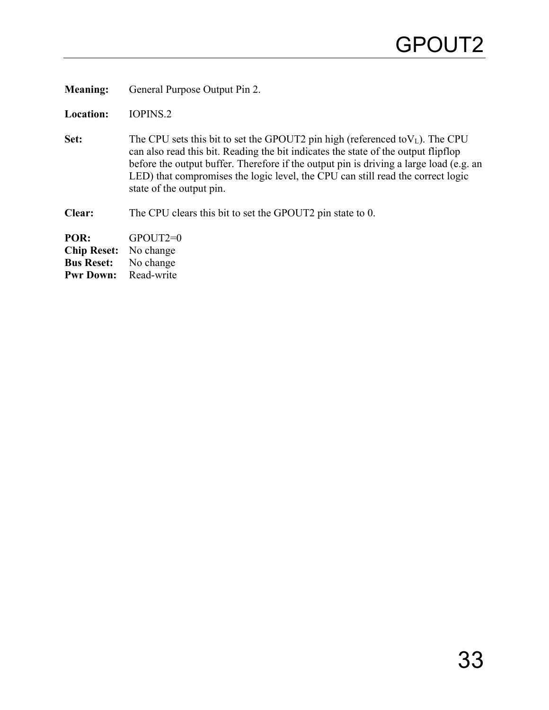**Meaning:** General Purpose Output Pin 2.

**Location:** IOPINS.2

**Set:** The CPU sets this bit to set the GPOUT2 pin high (referenced to $V_L$ ). The CPU can also read this bit. Reading the bit indicates the state of the output flipflop before the output buffer. Therefore if the output pin is driving a large load (e.g. an LED) that compromises the logic level, the CPU can still read the correct logic state of the output pin.

**Clear:** The CPU clears this bit to set the GPOUT2 pin state to 0.

**POR:** GPOUT2=0 **Chip Reset:** No change **Bus Reset:** No change<br>**Pwr Down:** Read-write **Pwr Down:**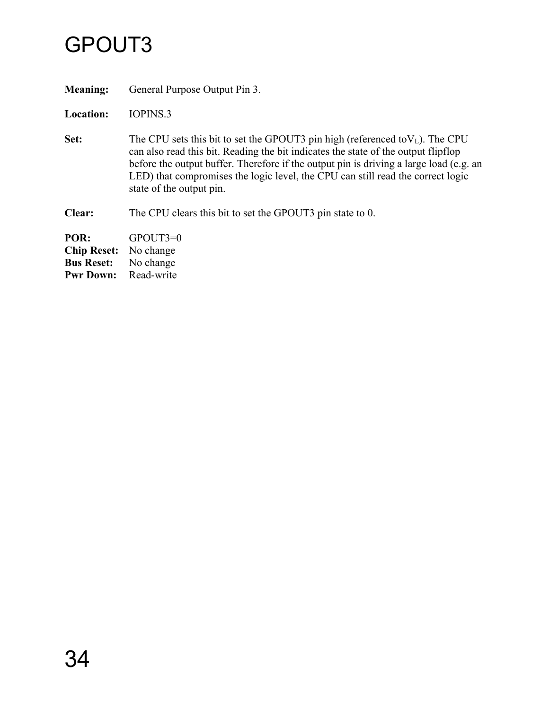## GPOUT3

**Meaning:** General Purpose Output Pin 3.

**Location:** IOPINS.3

- **Set:** The CPU sets this bit to set the GPOUT3 pin high (referenced to $V_L$ ). The CPU can also read this bit. Reading the bit indicates the state of the output flipflop before the output buffer. Therefore if the output pin is driving a large load (e.g. an LED) that compromises the logic level, the CPU can still read the correct logic state of the output pin.
- **Clear:** The CPU clears this bit to set the GPOUT3 pin state to 0.

**POR:** GPOUT3=0 **Chip Reset:** No change **Bus Reset:** No change<br>**Pwr Down:** Read-write **Pwr Down:**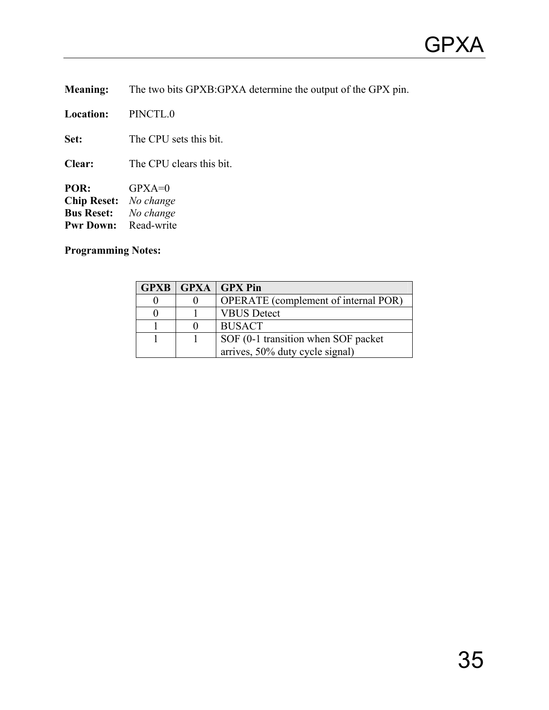**Meaning:** The two bits GPXB:GPXA determine the output of the GPX pin.

**Location:** PINCTL.0

**Set:** The CPU sets this bit.

**Clear:** The CPU clears this bit.

**POR:** GPXA=0 **Chip Reset:** *No change*  $N$ *o* change<br>Read-write **Pwr Down:** 

**Programming Notes:** 

|  | <b>GPXB   GPXA   GPX Pin</b>                |
|--|---------------------------------------------|
|  | <b>OPERATE</b> (complement of internal POR) |
|  | <b>VBUS Detect</b>                          |
|  | <b>BUSACT</b>                               |
|  | SOF (0-1 transition when SOF packet         |
|  | arrives, 50% duty cycle signal)             |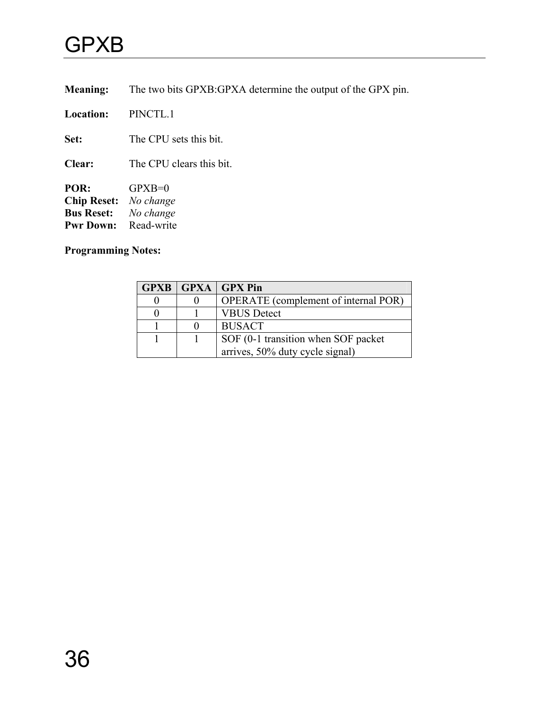## <span id="page-39-0"></span>GPXB

**Meaning:** The two bits GPXB:GPXA determine the output of the GPX pin.

**Location:** PINCTL.1

**Set:** The CPU sets this bit.

**Clear:** The CPU clears this bit.

**POR:** GPXB=0 **Chip Reset:** *No change*  $No$  *change* **Pwr Down:** Read-write

**Programming Notes:** 

|  | GPXB   GPXA   GPX Pin                       |
|--|---------------------------------------------|
|  | <b>OPERATE</b> (complement of internal POR) |
|  | <b>VBUS</b> Detect                          |
|  | <b>BUSACT</b>                               |
|  | SOF (0-1 transition when SOF packet         |
|  | arrives, 50% duty cycle signal)             |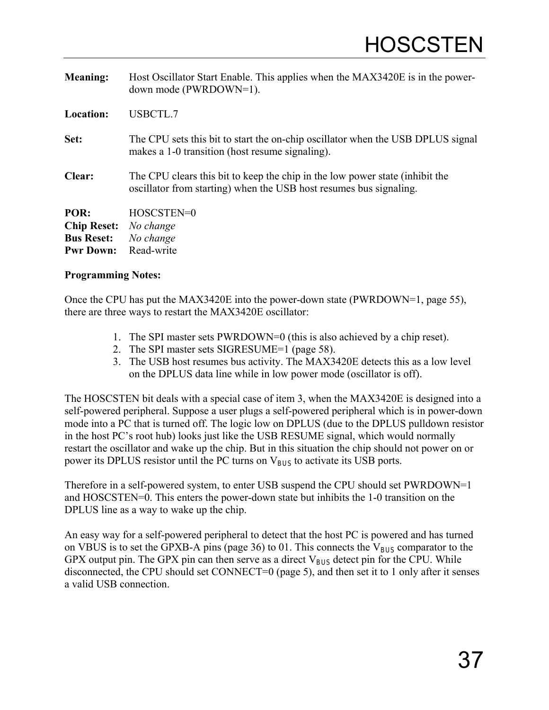<span id="page-40-0"></span>

| <b>Meaning:</b>    | Host Oscillator Start Enable. This applies when the MAX3420E is in the power-<br>down mode (PWRDOWN=1).                                            |
|--------------------|----------------------------------------------------------------------------------------------------------------------------------------------------|
| <b>Location:</b>   | USBCTL.7                                                                                                                                           |
| Set:               | The CPU sets this bit to start the on-chip oscillator when the USB DPLUS signal<br>makes a 1-0 transition (host resume signaling).                 |
| Clear:             | The CPU clears this bit to keep the chip in the low power state (inhibit the<br>oscillator from starting) when the USB host resumes bus signaling. |
| POR:               | HOSCSTEN=0                                                                                                                                         |
| <b>Chip Reset:</b> | No change                                                                                                                                          |
| <b>Bus Reset:</b>  | No change                                                                                                                                          |
| <b>Pwr Down:</b>   | Read-write                                                                                                                                         |

Once the CPU has put the MAX3420E into the power-down state (PWRDOWN=1, page [55\)](#page-58-0), there are three ways to restart the MAX3420E oscillator:

- 1. The SPI master sets PWRDOWN=0 (this is also achieved by a chip reset).
- 2. The SPI master sets SIGRESUME=1 (page [58\)](#page-61-0).
- 3. The USB host resumes bus activity. The MAX3420E detects this as a low level on the DPLUS data line while in low power mode (oscillator is off).

The HOSCSTEN bit deals with a special case of item 3, when the MAX3420E is designed into a self-powered peripheral. Suppose a user plugs a self-powered peripheral which is in power-down mode into a PC that is turned off. The logic low on DPLUS (due to the DPLUS pulldown resistor in the host PC's root hub) looks just like the USB RESUME signal, which would normally restart the oscillator and wake up the chip. But in this situation the chip should not power on or power its DPLUS resistor until the PC turns on  $V_{BUS}$  to activate its USB ports.

Therefore in a self-powered system, to enter USB suspend the CPU should set PWRDOWN=1 and HOSCSTEN=0. This enters the power-down state but inhibits the 1-0 transition on the DPLUS line as a way to wake up the chip.

An easy way for a self-powered peripheral to detect that the host PC is powered and has turned on VBUS is to set the GPXB-A pins (page [36\)](#page-39-0) to 01. This connects the  $V_{BUS}$  comparator to the GPX output pin. The GPX pin can then serve as a direct  $V_{BUS}$  detect pin for the CPU. While disconnected, the CPU should set CONNECT=0 (page [5\)](#page-8-0), and then set it to 1 only after it senses a valid USB connection.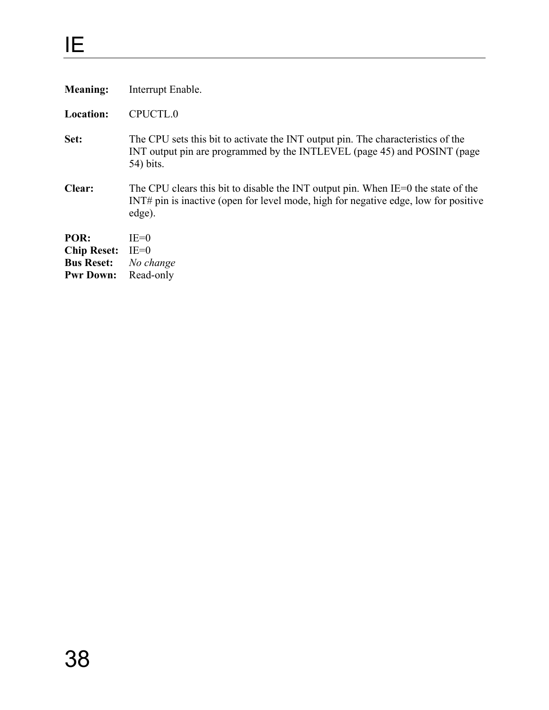| <b>Meaning:</b>    | Interrupt Enable.                                                                                                                                                                  |
|--------------------|------------------------------------------------------------------------------------------------------------------------------------------------------------------------------------|
| <b>Location:</b>   | CPUCTL.0                                                                                                                                                                           |
| Set:               | The CPU sets this bit to activate the INT output pin. The characteristics of the<br>INT output pin are programmed by the INTLEVEL (page 45) and POSINT (page<br>54) bits.          |
| Clear:             | The CPU clears this bit to disable the INT output pin. When IE=0 the state of the<br>INT# pin is inactive (open for level mode, high for negative edge, low for positive<br>edge). |
| POR:               | $IE=0$                                                                                                                                                                             |
| <b>Chip Reset:</b> | $IE=0$                                                                                                                                                                             |
| <b>Bus Reset:</b>  | No change                                                                                                                                                                          |
| <b>Pwr Down:</b>   | Read-only                                                                                                                                                                          |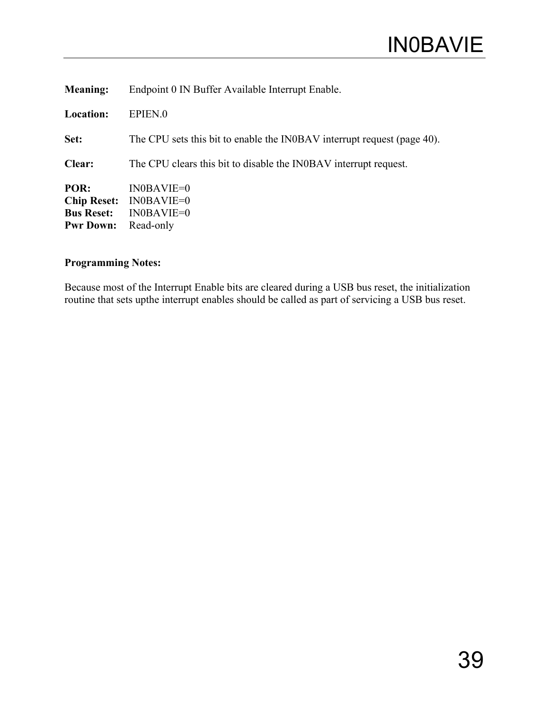| <b>Meaning:</b>                                                     | Endpoint 0 IN Buffer Available Interrupt Enable.                        |
|---------------------------------------------------------------------|-------------------------------------------------------------------------|
| <b>Location:</b>                                                    | EPIEN.0                                                                 |
| Set:                                                                | The CPU sets this bit to enable the INOBAV interrupt request (page 40). |
| <b>Clear:</b>                                                       | The CPU clears this bit to disable the INOBAV interrupt request.        |
| POR:<br><b>Chip Reset:</b><br><b>Bus Reset:</b><br><b>Pwr Down:</b> | $IN0BAVIE=0$<br>$IN0BAVIE=0$<br>$IN0BAVIE=0$<br>Read-only               |

Because most of the Interrupt Enable bits are cleared during a USB bus reset, the initialization routine that sets upthe interrupt enables should be called as part of servicing a USB bus reset.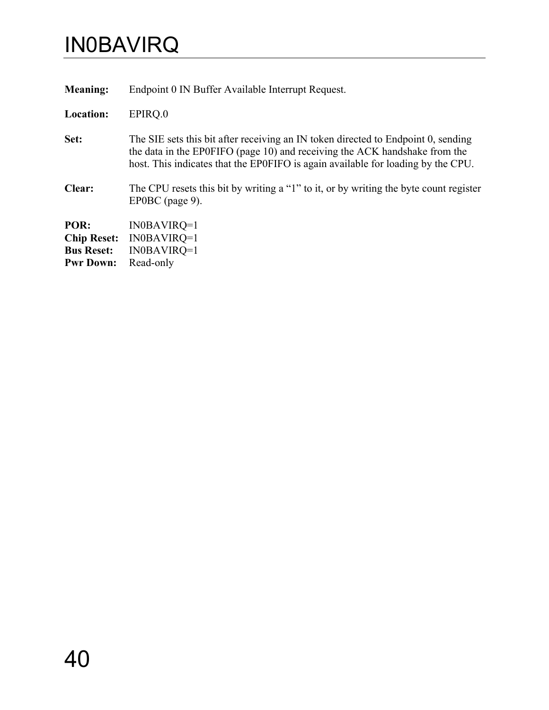## <span id="page-43-0"></span>IN0BAVIRQ

**Meaning:** Endpoint 0 IN Buffer Available Interrupt Request.

**Location:** EPIRQ.0

- Set: The SIE sets this bit after receiving an IN token directed to Endpoint 0, sending the data in the EP0FIFO (page [10\)](#page-13-0) and receiving the ACK handshake from the host. This indicates that the EP0FIFO is again available for loading by the CPU.
- **Clear:** The CPU resets this bit by writing a "1" to it, or by writing the byte count register EP0BC (page [9\)](#page-12-0).

**POR:** IN0BAVIRQ=1 **Chip Reset:** IN0BAVIRQ=1 **Bus Reset:** IN0BAVIRQ=1 **Pwr Down:** Read-only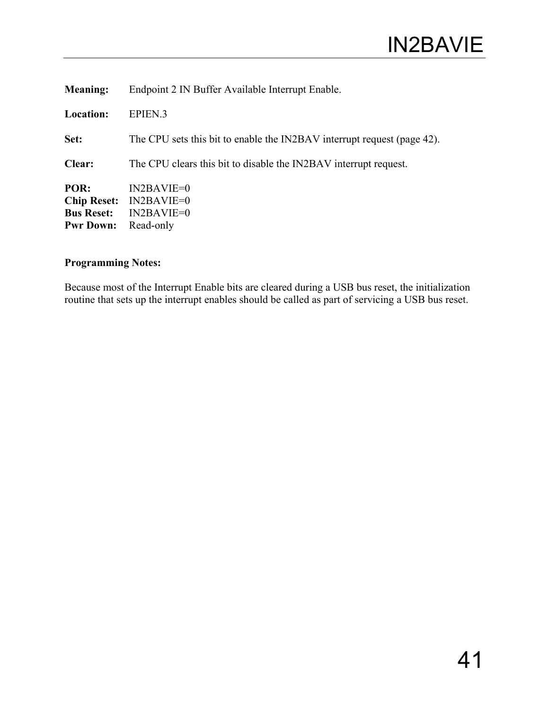| <b>Meaning:</b>                                                     | Endpoint 2 IN Buffer Available Interrupt Enable.                        |
|---------------------------------------------------------------------|-------------------------------------------------------------------------|
| <b>Location:</b>                                                    | EPIEN <sub>.3</sub>                                                     |
| Set:                                                                | The CPU sets this bit to enable the IN2BAV interrupt request (page 42). |
| <b>Clear:</b>                                                       | The CPU clears this bit to disable the IN2BAV interrupt request.        |
| POR:<br><b>Chip Reset:</b><br><b>Bus Reset:</b><br><b>Pwr Down:</b> | $IN2BAVIE=0$<br>$IN2BAVIE=0$<br>$IN2BAVIE=0$<br>Read-only               |

Because most of the Interrupt Enable bits are cleared during a USB bus reset, the initialization routine that sets up the interrupt enables should be called as part of servicing a USB bus reset.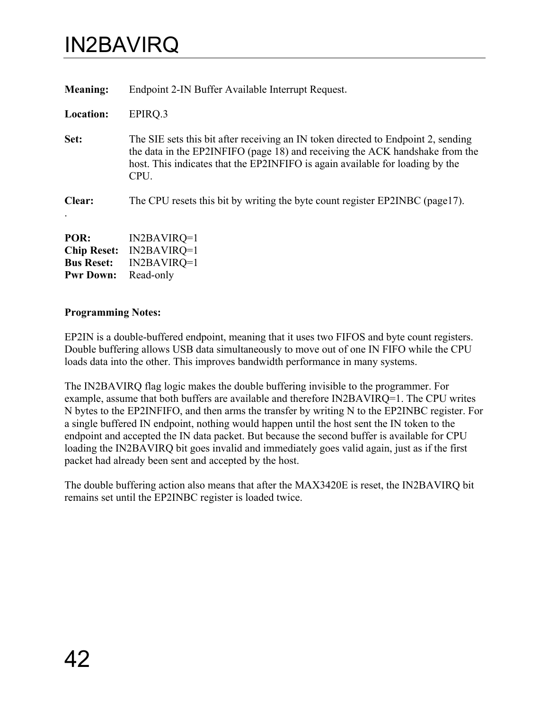## <span id="page-45-0"></span>IN2BAVIRQ

| <b>Meaning:</b>                                                     | Endpoint 2-IN Buffer Available Interrupt Request.                                                                                                                                                                                                          |
|---------------------------------------------------------------------|------------------------------------------------------------------------------------------------------------------------------------------------------------------------------------------------------------------------------------------------------------|
| Location:                                                           | EPIRQ.3                                                                                                                                                                                                                                                    |
| Set:                                                                | The SIE sets this bit after receiving an IN token directed to Endpoint 2, sending<br>the data in the EP2INFIFO (page 18) and receiving the ACK handshake from the<br>host. This indicates that the EP2INFIFO is again available for loading by the<br>CPU. |
| Clear:                                                              | The CPU resets this bit by writing the byte count register EP2INBC (page17).                                                                                                                                                                               |
| POR:<br><b>Chip Reset:</b><br><b>Bus Reset:</b><br><b>Pwr Down:</b> | $IN2BAVIRQ=1$<br>$IN2BAVIRQ=1$<br>$IN2BAVIRQ=1$<br>Read-only                                                                                                                                                                                               |

#### **Programming Notes:**

EP2IN is a double-buffered endpoint, meaning that it uses two FIFOS and byte count registers. Double buffering allows USB data simultaneously to move out of one IN FIFO while the CPU loads data into the other. This improves bandwidth performance in many systems.

The IN2BAVIRQ flag logic makes the double buffering invisible to the programmer. For example, assume that both buffers are available and therefore IN2BAVIRQ=1. The CPU writes N bytes to the EP2INFIFO, and then arms the transfer by writing N to the EP2INBC register. For a single buffered IN endpoint, nothing would happen until the host sent the IN token to the endpoint and accepted the IN data packet. But because the second buffer is available for CPU loading the IN2BAVIRQ bit goes invalid and immediately goes valid again, just as if the first packet had already been sent and accepted by the host.

The double buffering action also means that after the MAX3420E is reset, the IN2BAVIRQ bit remains set until the EP2INBC register is loaded twice.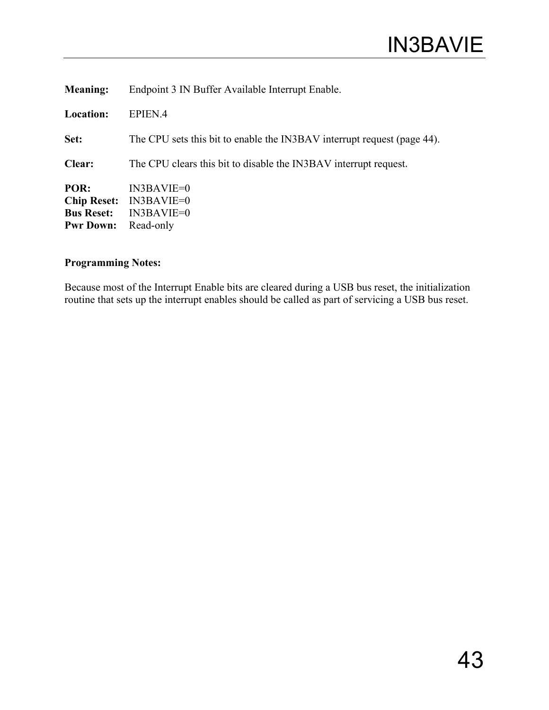| <b>Meaning:</b>                                                     | Endpoint 3 IN Buffer Available Interrupt Enable.                        |
|---------------------------------------------------------------------|-------------------------------------------------------------------------|
| <b>Location:</b>                                                    | EPIEN.4                                                                 |
| Set:                                                                | The CPU sets this bit to enable the IN3BAV interrupt request (page 44). |
| Clear:                                                              | The CPU clears this bit to disable the IN3BAV interrupt request.        |
| POR:<br><b>Chip Reset:</b><br><b>Bus Reset:</b><br><b>Pwr Down:</b> | $IN3BAVIE=0$<br>$IN3BAVIE=0$<br>$IN3BAVIE=0$<br>Read-only               |

Because most of the Interrupt Enable bits are cleared during a USB bus reset, the initialization routine that sets up the interrupt enables should be called as part of servicing a USB bus reset.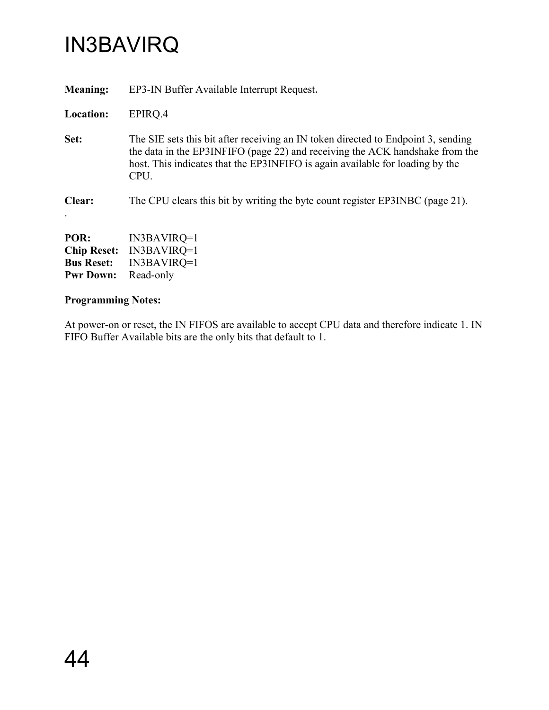## <span id="page-47-0"></span>IN3BAVIRQ

| <b>Meaning:</b>                                                     | EP3-IN Buffer Available Interrupt Request.                                                                                                                                                                                                                 |
|---------------------------------------------------------------------|------------------------------------------------------------------------------------------------------------------------------------------------------------------------------------------------------------------------------------------------------------|
| Location:                                                           | EPIRO.4                                                                                                                                                                                                                                                    |
| Set:                                                                | The SIE sets this bit after receiving an IN token directed to Endpoint 3, sending<br>the data in the EP3INFIFO (page 22) and receiving the ACK handshake from the<br>host. This indicates that the EP3INFIFO is again available for loading by the<br>CPU. |
| Clear:                                                              | The CPU clears this bit by writing the byte count register EP3INBC (page 21).                                                                                                                                                                              |
| POR:<br><b>Chip Reset:</b><br><b>Bus Reset:</b><br><b>Pwr Down:</b> | IN3BAVIRQ=1<br>$IN3BAVIRQ=1$<br>$IN3BAVIRQ=1$<br>Read-only                                                                                                                                                                                                 |

## **Programming Notes:**

At power-on or reset, the IN FIFOS are available to accept CPU data and therefore indicate 1. IN FIFO Buffer Available bits are the only bits that default to 1.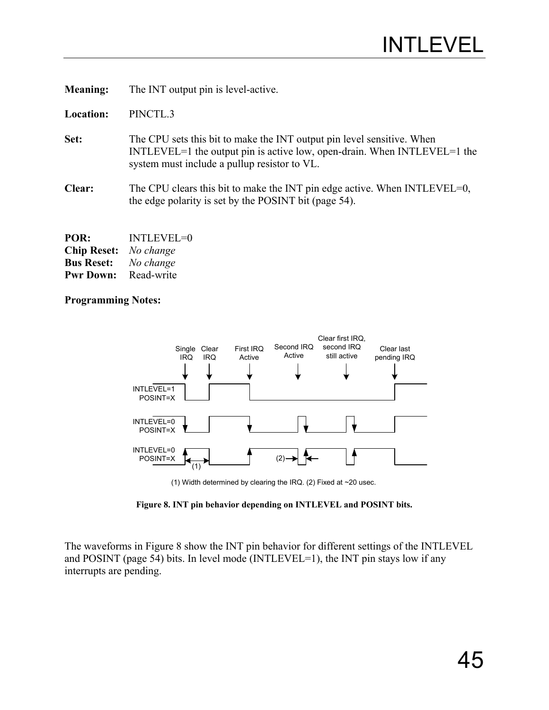<span id="page-48-0"></span>**Meaning:** The INT output pin is level-active.

**Location:** PINCTL.3

- **Set:** The CPU sets this bit to make the INT output pin level sensitive. When INTLEVEL=1 the output pin is active low, open-drain. When INTLEVEL=1 the system must include a pullup resistor to VL.
- **Clear:** The CPU clears this bit to make the INT pin edge active. When INTLEVEL=0, the edge polarity is set by the POSINT bit (page [54\)](#page-57-0).

| POR:               | <b>INTLEVEL=0</b> |
|--------------------|-------------------|
| <b>Chip Reset:</b> | No change         |
| <b>Bus Reset:</b>  | No change         |
| <b>Pwr Down:</b>   | Read-write        |

#### **Programming Notes:**

<span id="page-48-1"></span>

(1) Width determined by clearing the IRQ. (2) Fixed at ~20 usec.

**Figure 8. INT pin behavior depending on INTLEVEL and POSINT bits.**

The waveforms in [Figure 8](#page-48-1) show the INT pin behavior for different settings of the INTLEVEL and POSINT (page [54\)](#page-57-0) bits. In level mode (INTLEVEL=1), the INT pin stays low if any interrupts are pending.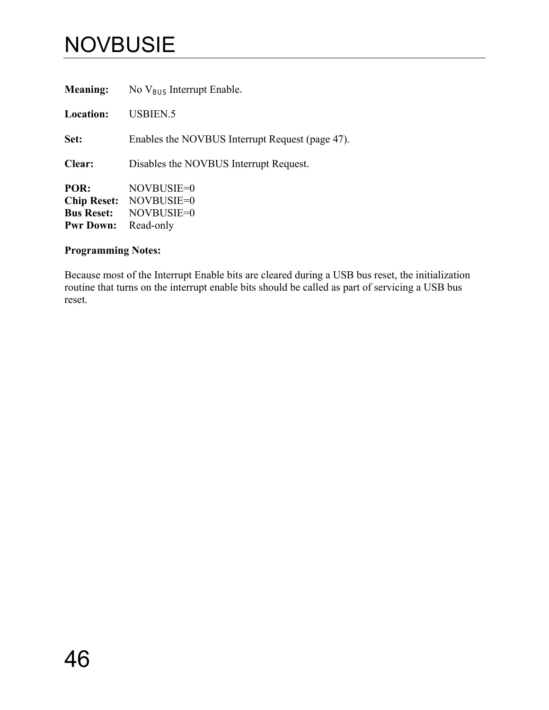# **NOVBUSIE**

| <b>Meaning:</b>                                                     | No $V_{BUS}$ Interrupt Enable.                      |
|---------------------------------------------------------------------|-----------------------------------------------------|
| Location:                                                           | <b>USBIEN.5</b>                                     |
| Set:                                                                | Enables the NOVBUS Interrupt Request (page 47).     |
| <b>Clear:</b>                                                       | Disables the NOVBUS Interrupt Request.              |
| POR:<br><b>Chip Reset:</b><br><b>Bus Reset:</b><br><b>Pwr Down:</b> | NOVBUSIE=0<br>NOVBUSIE=0<br>NOVBUSIE=0<br>Read-only |

## **Programming Notes:**

Because most of the Interrupt Enable bits are cleared during a USB bus reset, the initialization routine that turns on the interrupt enable bits should be called as part of servicing a USB bus reset.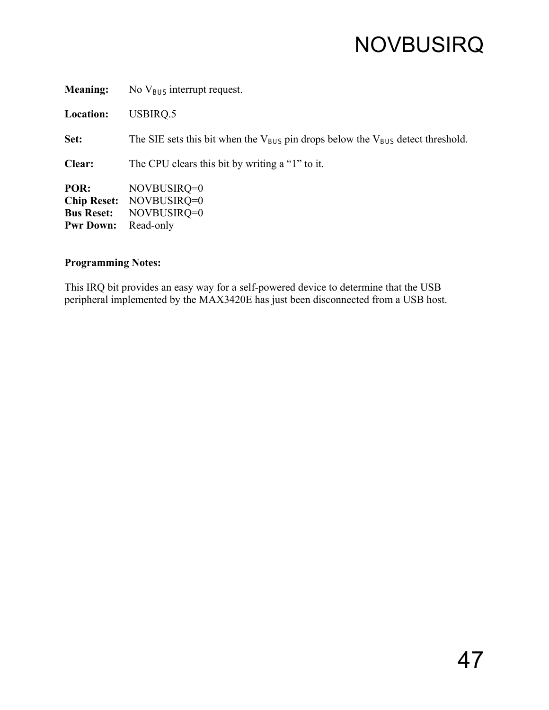## <span id="page-50-0"></span>**NOVBUSIRQ**

| <b>Meaning:</b>                               | No $V_{BUS}$ interrupt request.                                                          |
|-----------------------------------------------|------------------------------------------------------------------------------------------|
| Location:                                     | USBIRQ.5                                                                                 |
| Set:                                          | The SIE sets this bit when the $V_{BUS}$ pin drops below the $V_{BUS}$ detect threshold. |
| Clear:                                        | The CPU clears this bit by writing a "1" to it.                                          |
| POR:<br><b>Bus Reset:</b><br><b>Pwr Down:</b> | NOVBUSIRQ=0<br>Chip Reset: NOVBUSIRQ=0<br>NOVBUSIRQ=0<br>Read-only                       |

## **Programming Notes:**

This IRQ bit provides an easy way for a self-powered device to determine that the USB peripheral implemented by the MAX3420E has just been disconnected from a USB host.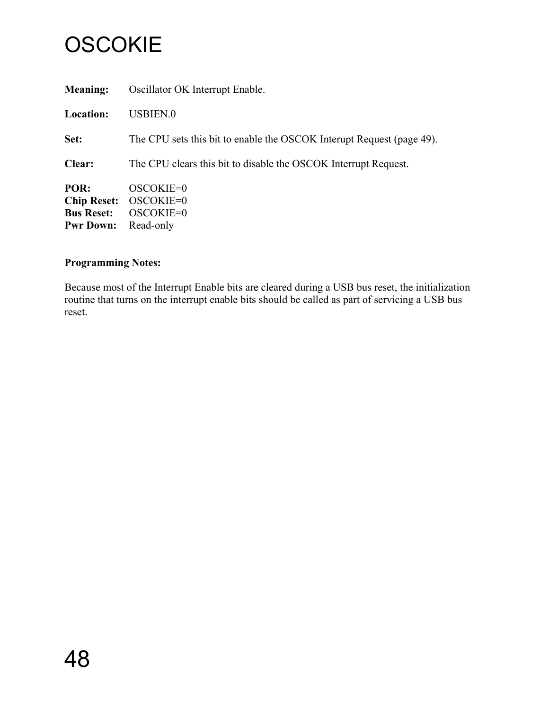# **OSCOKIE**

| <b>Meaning:</b>                                                     | Oscillator OK Interrupt Enable.                                       |
|---------------------------------------------------------------------|-----------------------------------------------------------------------|
| <b>Location:</b>                                                    | <b>USBIEN.0</b>                                                       |
| Set:                                                                | The CPU sets this bit to enable the OSCOK Interupt Request (page 49). |
| Clear:                                                              | The CPU clears this bit to disable the OSCOK Interrupt Request.       |
| POR:<br><b>Chip Reset:</b><br><b>Bus Reset:</b><br><b>Pwr Down:</b> | OSCOKIE=0<br>OSCOKIE=0<br>OSCOKIE=0<br>Read-only                      |

## **Programming Notes:**

Because most of the Interrupt Enable bits are cleared during a USB bus reset, the initialization routine that turns on the interrupt enable bits should be called as part of servicing a USB bus reset.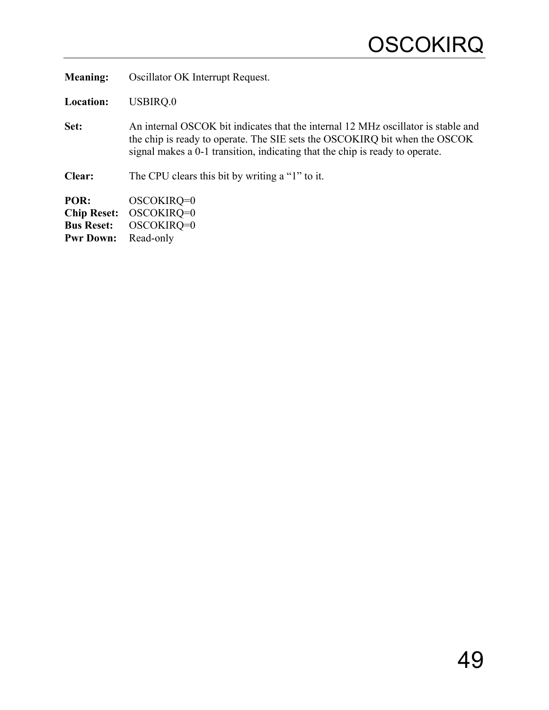<span id="page-52-0"></span>**Meaning:** Oscillator OK Interrupt Request.

**Location:** USBIRQ.0

**Set:** An internal OSCOK bit indicates that the internal 12 MHz oscillator is stable and the chip is ready to operate. The SIE sets the OSCOKIRQ bit when the OSCOK signal makes a 0-1 transition, indicating that the chip is ready to operate.

**Clear:** The CPU clears this bit by writing a "1" to it.

**POR:** OSCOKIRQ=0 **Chip Reset:** OSCOKIRQ=0 **Bus Reset:** OSCOKIRQ=0 Pwr Down: Read-only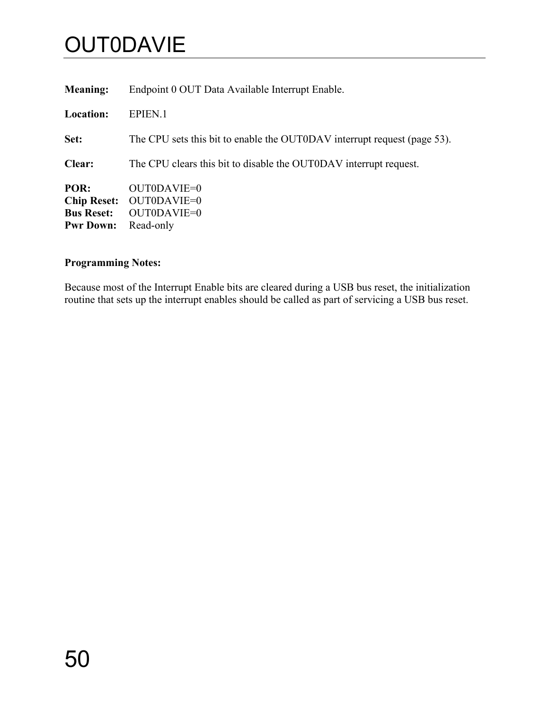# **OUT0DAVIE**

| <b>Meaning:</b>                                                     | Endpoint 0 OUT Data Available Interrupt Enable.                          |
|---------------------------------------------------------------------|--------------------------------------------------------------------------|
| <b>Location:</b>                                                    | EPIEN.1                                                                  |
| Set:                                                                | The CPU sets this bit to enable the OUT0DAV interrupt request (page 53). |
| Clear:                                                              | The CPU clears this bit to disable the OUTODAV interrupt request.        |
| POR:<br><b>Chip Reset:</b><br><b>Bus Reset:</b><br><b>Pwr Down:</b> | OUTODAVIE=0<br>OUT0DAVIE=0<br>OUT0DAVIE=0<br>Read-only                   |

## **Programming Notes:**

Because most of the Interrupt Enable bits are cleared during a USB bus reset, the initialization routine that sets up the interrupt enables should be called as part of servicing a USB bus reset.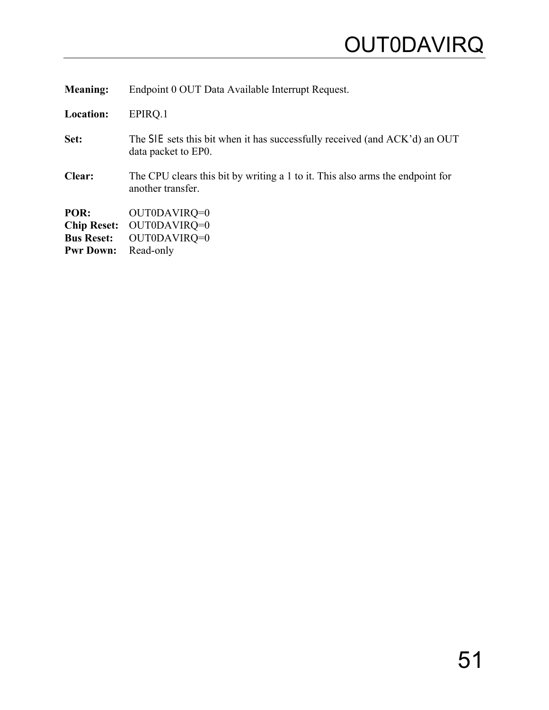<span id="page-54-0"></span>

| <b>Meaning:</b>    | Endpoint 0 OUT Data Available Interrupt Request.                                                   |
|--------------------|----------------------------------------------------------------------------------------------------|
| Location:          | EPIRQ.1                                                                                            |
| Set:               | The SIE sets this bit when it has successfully received (and ACK'd) an OUT<br>data packet to EP0.  |
| <b>Clear:</b>      | The CPU clears this bit by writing a 1 to it. This also arms the endpoint for<br>another transfer. |
| POR:               | OUT0DAVIRQ=0                                                                                       |
| <b>Chip Reset:</b> | OUT0DAVIRQ=0                                                                                       |
| <b>Bus Reset:</b>  | OUT0DAVIRQ=0                                                                                       |
| <b>Pwr Down:</b>   | Read-only                                                                                          |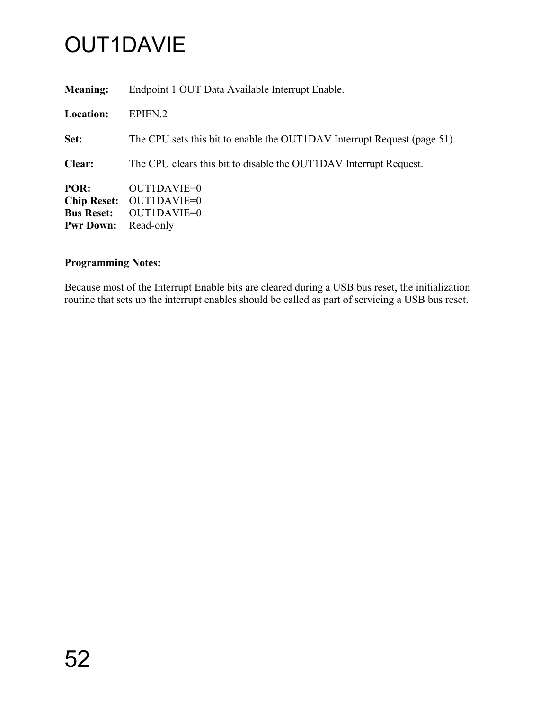# OUT1DAVIE

| <b>Meaning:</b>                                                     | Endpoint 1 OUT Data Available Interrupt Enable.                          |
|---------------------------------------------------------------------|--------------------------------------------------------------------------|
| <b>Location:</b>                                                    | EPIEN <sub>.2</sub>                                                      |
| Set:                                                                | The CPU sets this bit to enable the OUTIDAV Interrupt Request (page 51). |
| Clear:                                                              | The CPU clears this bit to disable the OUT1DAV Interrupt Request.        |
| POR:<br><b>Chip Reset:</b><br><b>Bus Reset:</b><br><b>Pwr Down:</b> | OUTIDAVIE=0<br>OUT1DAVIE=0<br>OUT1DAVIE=0<br>Read-only                   |

## **Programming Notes:**

Because most of the Interrupt Enable bits are cleared during a USB bus reset, the initialization routine that sets up the interrupt enables should be called as part of servicing a USB bus reset.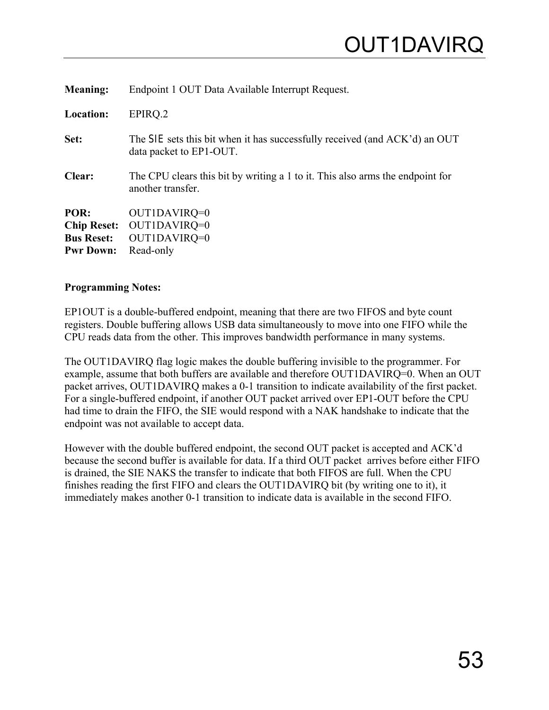<span id="page-56-0"></span>

| <b>Meaning:</b>    | Endpoint 1 OUT Data Available Interrupt Request.                                                      |
|--------------------|-------------------------------------------------------------------------------------------------------|
| <b>Location:</b>   | EPIRQ.2                                                                                               |
| Set:               | The SIE sets this bit when it has successfully received (and ACK'd) an OUT<br>data packet to EP1-OUT. |
| Clear:             | The CPU clears this bit by writing a 1 to it. This also arms the endpoint for<br>another transfer.    |
| POR:               | OUT1DAVIRQ=0                                                                                          |
| <b>Chip Reset:</b> | OUT1DAVIRQ=0                                                                                          |
| <b>Bus Reset:</b>  | OUT1DAVIRQ=0                                                                                          |
| <b>Pwr Down:</b>   | Read-only                                                                                             |

EP1OUT is a double-buffered endpoint, meaning that there are two FIFOS and byte count registers. Double buffering allows USB data simultaneously to move into one FIFO while the CPU reads data from the other. This improves bandwidth performance in many systems.

The OUT1DAVIRQ flag logic makes the double buffering invisible to the programmer. For example, assume that both buffers are available and therefore OUT1DAVIRQ=0. When an OUT packet arrives, OUT1DAVIRQ makes a 0-1 transition to indicate availability of the first packet. For a single-buffered endpoint, if another OUT packet arrived over EP1-OUT before the CPU had time to drain the FIFO, the SIE would respond with a NAK handshake to indicate that the endpoint was not available to accept data.

However with the double buffered endpoint, the second OUT packet is accepted and ACK'd because the second buffer is available for data. If a third OUT packet arrives before either FIFO is drained, the SIE NAKS the transfer to indicate that both FIFOS are full. When the CPU finishes reading the first FIFO and clears the OUT1DAVIRQ bit (by writing one to it), it immediately makes another 0-1 transition to indicate data is available in the second FIFO.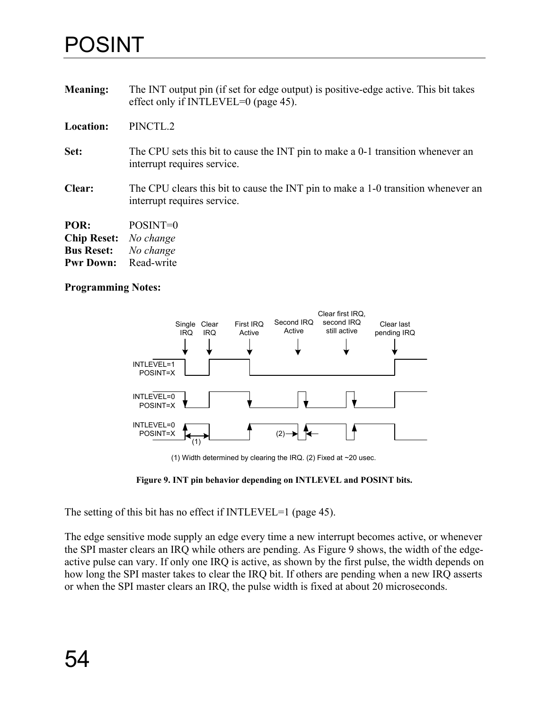## <span id="page-57-0"></span>POSINT

| <b>Meaning:</b>  | The INT output pin (if set for edge output) is positive-edge active. This bit takes<br>effect only if INTLEVEL=0 (page 45). |
|------------------|-----------------------------------------------------------------------------------------------------------------------------|
| <b>Location:</b> | PINCTL.2                                                                                                                    |
| Set:             | The CPU sets this bit to cause the INT pin to make a 0-1 transition whenever an<br>interrupt requires service.              |
| Clear:           | The CPU clears this bit to cause the INT pin to make a 1-0 transition whenever an<br>interrupt requires service.            |
| POR:             | POSINT=0                                                                                                                    |

| rvr:               | PUSIIN I –U |
|--------------------|-------------|
| <b>Chip Reset:</b> | No change   |
| <b>Bus Reset:</b>  | No change   |
| <b>Pwr Down:</b>   | Read-write  |

#### **Programming Notes:**

<span id="page-57-1"></span>

(1) Width determined by clearing the IRQ. (2) Fixed at ~20 usec.

**Figure 9. INT pin behavior depending on INTLEVEL and POSINT bits.**

The setting of this bit has no effect if INTLEVEL=1 (page [45\)](#page-48-0).

The edge sensitive mode supply an edge every time a new interrupt becomes active, or whenever the SPI master clears an IRQ while others are pending. As [Figure 9](#page-57-1) shows, the width of the edgeactive pulse can vary. If only one IRQ is active, as shown by the first pulse, the width depends on how long the SPI master takes to clear the IRQ bit. If others are pending when a new IRQ asserts or when the SPI master clears an IRQ, the pulse width is fixed at about 20 microseconds.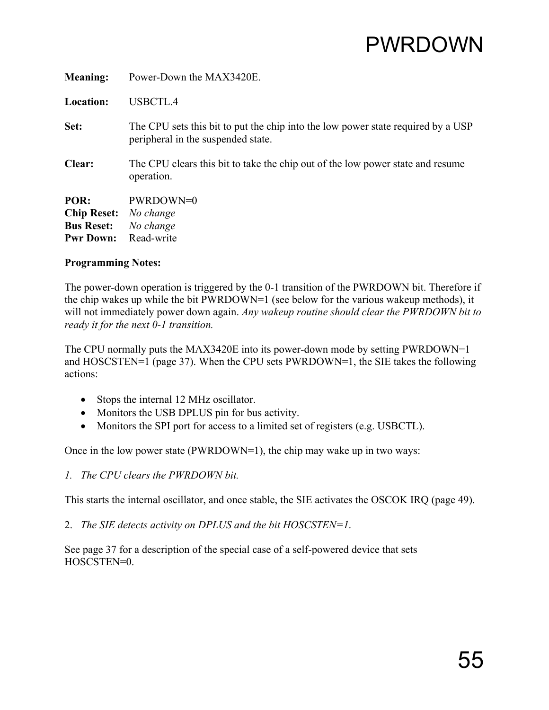<span id="page-58-0"></span>

| <b>Meaning:</b>                                                     | Power-Down the MAX3420E.                                                                                               |
|---------------------------------------------------------------------|------------------------------------------------------------------------------------------------------------------------|
| <b>Location:</b>                                                    | USBCTL.4                                                                                                               |
| Set:                                                                | The CPU sets this bit to put the chip into the low power state required by a USP<br>peripheral in the suspended state. |
| Clear:                                                              | The CPU clears this bit to take the chip out of the low power state and resume<br>operation.                           |
| POR:<br><b>Chip Reset:</b><br><b>Bus Reset:</b><br><b>Pwr Down:</b> | PWRDOWN=0<br>No change<br>No change<br>Read-write                                                                      |

The power-down operation is triggered by the 0-1 transition of the PWRDOWN bit. Therefore if the chip wakes up while the bit PWRDOWN=1 (see below for the various wakeup methods), it will not immediately power down again. *Any wakeup routine should clear the PWRDOWN bit to ready it for the next 0-1 transition.*

The CPU normally puts the MAX3420E into its power-down mode by setting PWRDOWN=1 and HOSCSTEN=1 (page [37\)](#page-40-0). When the CPU sets PWRDOWN=1, the SIE takes the following actions:

- Stops the internal 12 MHz oscillator.
- Monitors the USB DPLUS pin for bus activity.
- Monitors the SPI port for access to a limited set of registers (e.g. USBCTL).

Once in the low power state (PWRDOWN=1), the chip may wake up in two ways:

*1. The CPU clears the PWRDOWN bit.* 

This starts the internal oscillator, and once stable, the SIE activates the OSCOK IRQ (page [49\)](#page-52-0).

2. *The SIE detects activity on DPLUS and the bit HOSCSTEN=1*.

See page [37](#page-40-0) for a description of the special case of a self-powered device that sets HOSCSTEN=0.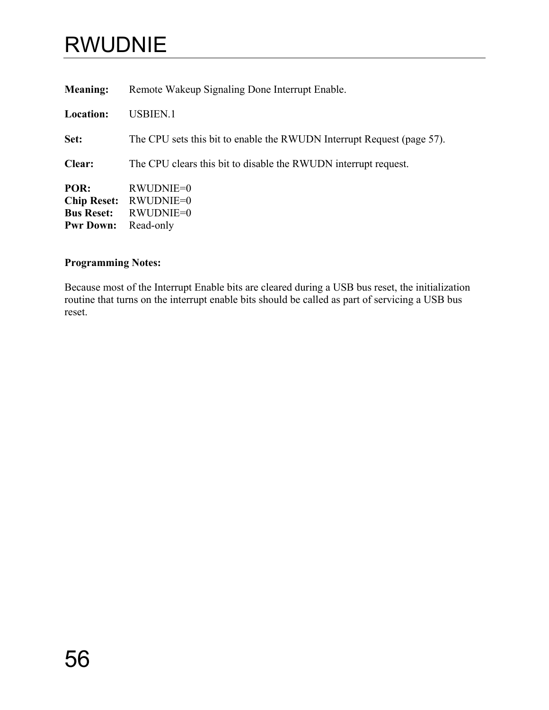# RWUDNIE

| Remote Wakeup Signaling Done Interrupt Enable.                         |
|------------------------------------------------------------------------|
| <b>USBIEN.1</b>                                                        |
| The CPU sets this bit to enable the RWUDN Interrupt Request (page 57). |
| The CPU clears this bit to disable the RWUDN interrupt request.        |
| RWUDNIE=0<br>RWUDNIE=0<br>RWUDNIE=0<br>Read-only                       |
|                                                                        |

## **Programming Notes:**

Because most of the Interrupt Enable bits are cleared during a USB bus reset, the initialization routine that turns on the interrupt enable bits should be called as part of servicing a USB bus reset.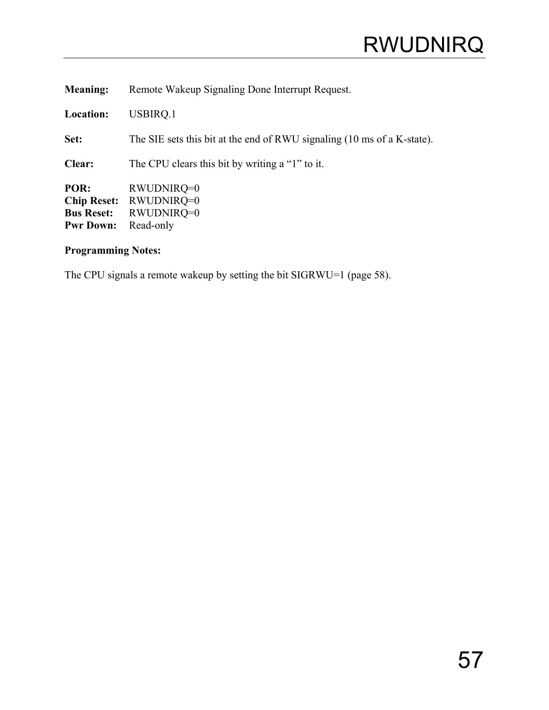<span id="page-60-0"></span>

| <b>Meaning:</b>                                                     | Remote Wakeup Signaling Done Interrupt Request.                         |
|---------------------------------------------------------------------|-------------------------------------------------------------------------|
| Location:                                                           | USBIRQ.1                                                                |
| Set:                                                                | The SIE sets this bit at the end of RWU signaling (10 ms of a K-state). |
| Clear:                                                              | The CPU clears this bit by writing a "1" to it.                         |
| POR:<br><b>Chip Reset:</b><br><b>Bus Reset:</b><br><b>Pwr Down:</b> | RWUDNIRQ=0<br>RWUDNIRQ=0<br>RWUDNIRQ=0<br>Read-only                     |

The CPU signals a remote wakeup by setting the bit SIGRWU=1 (page [58\)](#page-61-0).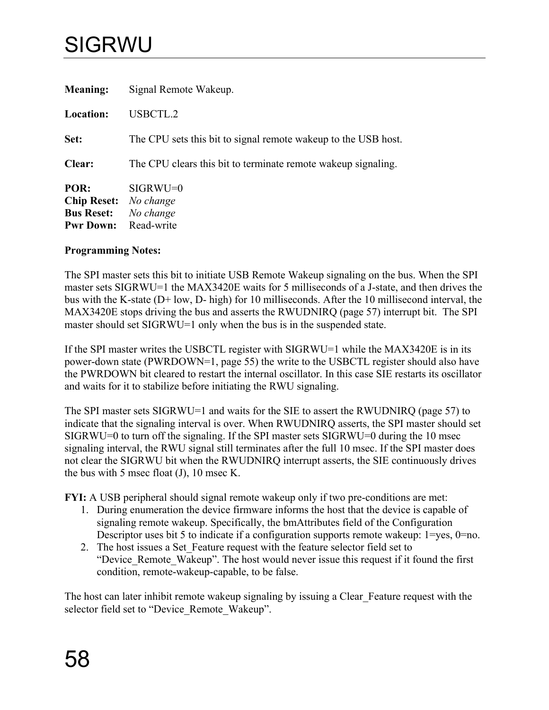# <span id="page-61-0"></span>SIGRWU

| <b>Meaning:</b>                                                     | Signal Remote Wakeup.                                          |
|---------------------------------------------------------------------|----------------------------------------------------------------|
| <b>Location:</b>                                                    | USBCTL.2                                                       |
| Set:                                                                | The CPU sets this bit to signal remote wakeup to the USB host. |
| Clear:                                                              | The CPU clears this bit to terminate remote wakeup signaling.  |
| POR:<br><b>Chip Reset:</b><br><b>Bus Reset:</b><br><b>Pwr Down:</b> | $SIGRWU=0$<br>No change<br>No change<br>Read-write             |

#### **Programming Notes:**

The SPI master sets this bit to initiate USB Remote Wakeup signaling on the bus. When the SPI master sets SIGRWU=1 the MAX3420E waits for 5 milliseconds of a J-state, and then drives the bus with the K-state (D+ low, D- high) for 10 milliseconds. After the 10 millisecond interval, the MAX3420E stops driving the bus and asserts the RWUDNIRQ (page [57\)](#page-60-0) interrupt bit. The SPI master should set SIGRWU=1 only when the bus is in the suspended state.

If the SPI master writes the USBCTL register with SIGRWU=1 while the MAX3420E is in its power-down state (PWRDOWN=1, page [55\)](#page-58-0) the write to the USBCTL register should also have the PWRDOWN bit cleared to restart the internal oscillator. In this case SIE restarts its oscillator and waits for it to stabilize before initiating the RWU signaling.

The SPI master sets SIGRWU=1 and waits for the SIE to assert the RWUDNIRQ (page [57\)](#page-60-0) to indicate that the signaling interval is over. When RWUDNIRQ asserts, the SPI master should set SIGRWU=0 to turn off the signaling. If the SPI master sets SIGRWU=0 during the 10 msec signaling interval, the RWU signal still terminates after the full 10 msec. If the SPI master does not clear the SIGRWU bit when the RWUDNIRQ interrupt asserts, the SIE continuously drives the bus with 5 msec float (J), 10 msec K.

**FYI:** A USB peripheral should signal remote wakeup only if two pre-conditions are met:

- 1. During enumeration the device firmware informs the host that the device is capable of signaling remote wakeup. Specifically, the bmAttributes field of the Configuration Descriptor uses bit 5 to indicate if a configuration supports remote wakeup:  $1 = yes$ ,  $0 = no$ .
- 2. The host issues a Set Feature request with the feature selector field set to "Device Remote Wakeup". The host would never issue this request if it found the first condition, remote-wakeup-capable, to be false.

The host can later inhibit remote wakeup signaling by issuing a Clear\_Feature request with the selector field set to "Device\_Remote\_Wakeup".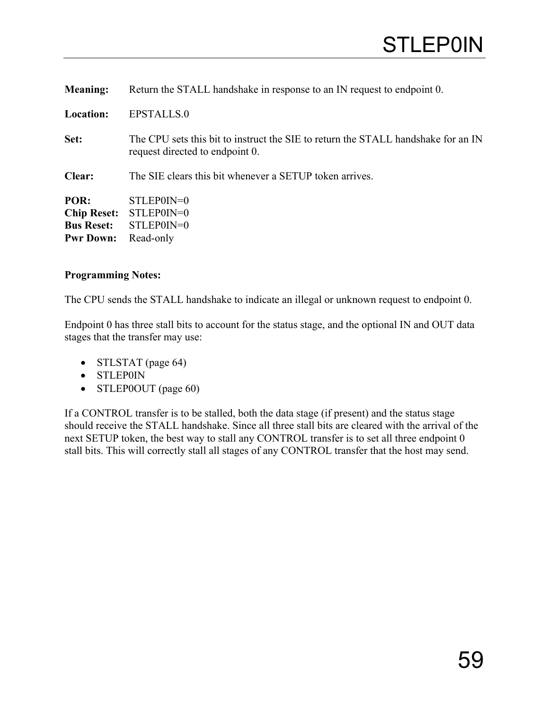<span id="page-62-0"></span>

| <b>Meaning:</b>    | Return the STALL handshake in response to an IN request to endpoint 0.                                               |
|--------------------|----------------------------------------------------------------------------------------------------------------------|
| Location:          | EPSTALLS.0                                                                                                           |
| Set:               | The CPU sets this bit to instruct the SIE to return the STALL handshake for an IN<br>request directed to endpoint 0. |
| Clear:             | The SIE clears this bit whenever a SETUP token arrives.                                                              |
| POR:               | STLEP0IN=0                                                                                                           |
| <b>Chip Reset:</b> | STLEP0IN=0                                                                                                           |
| <b>Bus Reset:</b>  | STLEP0IN=0                                                                                                           |
| <b>Pwr Down:</b>   | Read-only                                                                                                            |

The CPU sends the STALL handshake to indicate an illegal or unknown request to endpoint 0.

Endpoint 0 has three stall bits to account for the status stage, and the optional IN and OUT data stages that the transfer may use:

- STLSTAT (page [64\)](#page-67-0)
- STLEP0IN
- STLEP0OUT (page [60\)](#page-63-0)

If a CONTROL transfer is to be stalled, both the data stage (if present) and the status stage should receive the STALL handshake. Since all three stall bits are cleared with the arrival of the next SETUP token, the best way to stall any CONTROL transfer is to set all three endpoint 0 stall bits. This will correctly stall all stages of any CONTROL transfer that the host may send.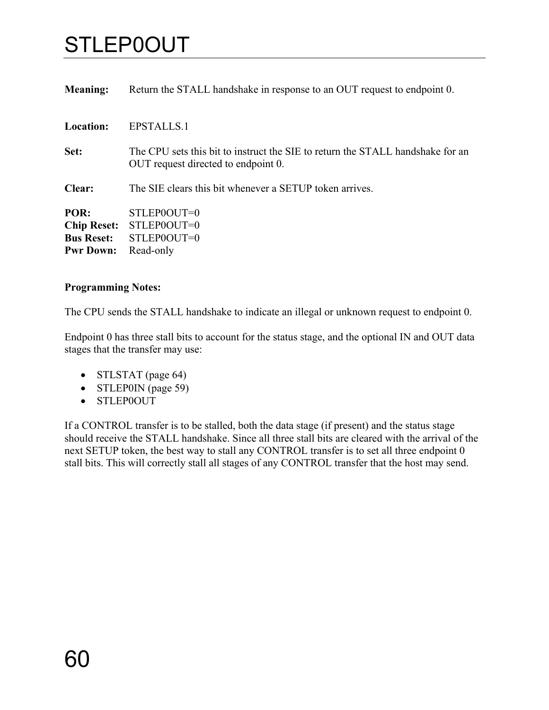# <span id="page-63-0"></span>STLEP0OUT

| <b>Meaning:</b>                                 | Return the STALL handshake in response to an OUT request to endpoint 0.                                               |
|-------------------------------------------------|-----------------------------------------------------------------------------------------------------------------------|
| <b>Location:</b>                                | <b>EPSTALLS.1</b>                                                                                                     |
| Set:                                            | The CPU sets this bit to instruct the SIE to return the STALL handshake for an<br>OUT request directed to endpoint 0. |
| <b>Clear:</b>                                   | The SIE clears this bit whenever a SETUP token arrives.                                                               |
| POR:<br><b>Chip Reset:</b><br><b>Bus Reset:</b> | STLEP0OUT=0<br>STLEP0OUT=0<br>STLEP0OUT=0                                                                             |
| <b>Pwr Down:</b>                                | Read-only                                                                                                             |

#### **Programming Notes:**

The CPU sends the STALL handshake to indicate an illegal or unknown request to endpoint 0.

Endpoint 0 has three stall bits to account for the status stage, and the optional IN and OUT data stages that the transfer may use:

- STLSTAT (page [64\)](#page-67-0)
- STLEP0IN (page [59\)](#page-62-0)
- STLEP0OUT

If a CONTROL transfer is to be stalled, both the data stage (if present) and the status stage should receive the STALL handshake. Since all three stall bits are cleared with the arrival of the next SETUP token, the best way to stall any CONTROL transfer is to set all three endpoint 0 stall bits. This will correctly stall all stages of any CONTROL transfer that the host may send.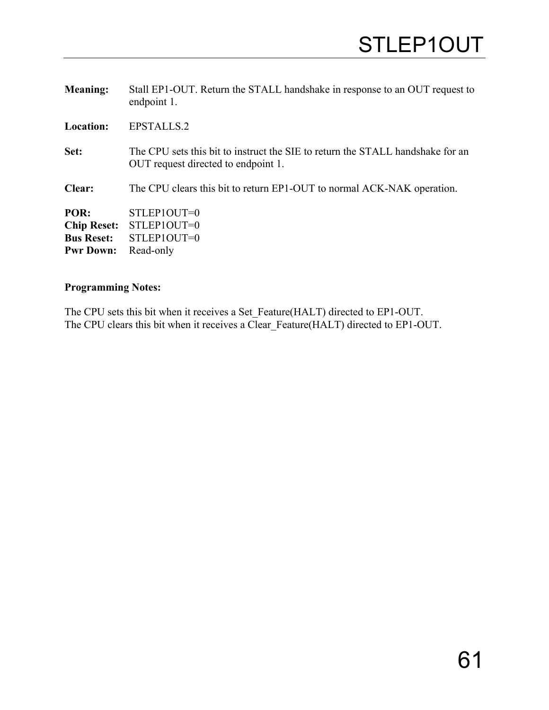| <b>Meaning:</b>    | Stall EP1-OUT. Return the STALL handshake in response to an OUT request to<br>endpoint 1.                             |
|--------------------|-----------------------------------------------------------------------------------------------------------------------|
| <b>Location:</b>   | EPSTALLS.2                                                                                                            |
| Set:               | The CPU sets this bit to instruct the SIE to return the STALL handshake for an<br>OUT request directed to endpoint 1. |
| Clear:             | The CPU clears this bit to return EP1-OUT to normal ACK-NAK operation.                                                |
| POR:               | STLEP1OUT=0                                                                                                           |
| <b>Chip Reset:</b> | STLEP1OUT=0                                                                                                           |
| <b>Bus Reset:</b>  | STLEP1OUT=0                                                                                                           |
| <b>Pwr Down:</b>   | Read-only                                                                                                             |

The CPU sets this bit when it receives a Set\_Feature(HALT) directed to EP1-OUT. The CPU clears this bit when it receives a Clear\_Feature(HALT) directed to EP1-OUT.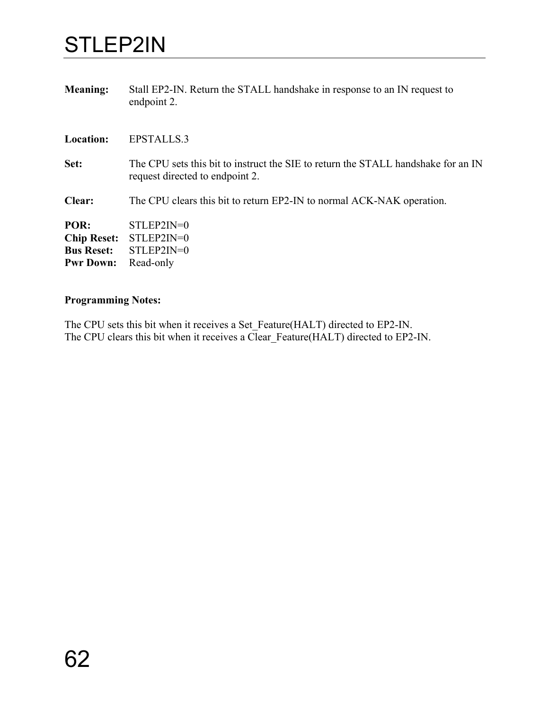## STLEP2IN

| <b>Meaning:</b>    | Stall EP2-IN. Return the STALL handshake in response to an IN request to<br>endpoint 2.                              |
|--------------------|----------------------------------------------------------------------------------------------------------------------|
| <b>Location:</b>   | <b>EPSTALLS.3</b>                                                                                                    |
| Set:               | The CPU sets this bit to instruct the SIE to return the STALL handshake for an IN<br>request directed to endpoint 2. |
| Clear:             | The CPU clears this bit to return EP2-IN to normal ACK-NAK operation.                                                |
| POR:               | $STLEP2IN=0$                                                                                                         |
| <b>Chip Reset:</b> | $STLEP2IN=0$                                                                                                         |
| <b>Bus Reset:</b>  | $STLEP2IN=0$                                                                                                         |
| <b>Pwr Down:</b>   | Read-only                                                                                                            |

## **Programming Notes:**

The CPU sets this bit when it receives a Set\_Feature(HALT) directed to EP2-IN. The CPU clears this bit when it receives a Clear\_Feature(HALT) directed to EP2-IN.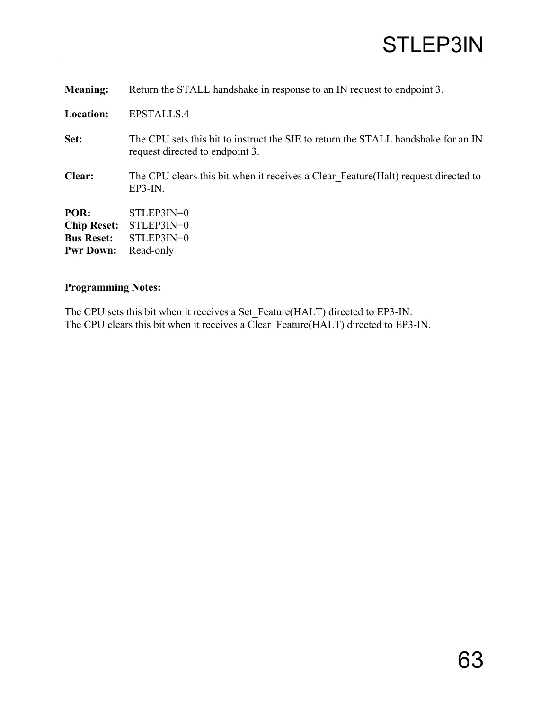| <b>Meaning:</b>                                                     | Return the STALL handshake in response to an IN request to endpoint 3.                                               |
|---------------------------------------------------------------------|----------------------------------------------------------------------------------------------------------------------|
| <b>Location:</b>                                                    | EPSTALLS.4                                                                                                           |
| Set:                                                                | The CPU sets this bit to instruct the SIE to return the STALL handshake for an IN<br>request directed to endpoint 3. |
| Clear:                                                              | The CPU clears this bit when it receives a Clear Feature (Halt) request directed to<br>$EP3-IN$ .                    |
| POR:<br><b>Chip Reset:</b><br><b>Bus Reset:</b><br><b>Pwr Down:</b> | $STLEP3IN=0$<br>$STLEP3IN=0$<br>$STLEP3IN=0$<br>Read-only                                                            |

The CPU sets this bit when it receives a Set\_Feature(HALT) directed to EP3-IN. The CPU clears this bit when it receives a Clear\_Feature(HALT) directed to EP3-IN.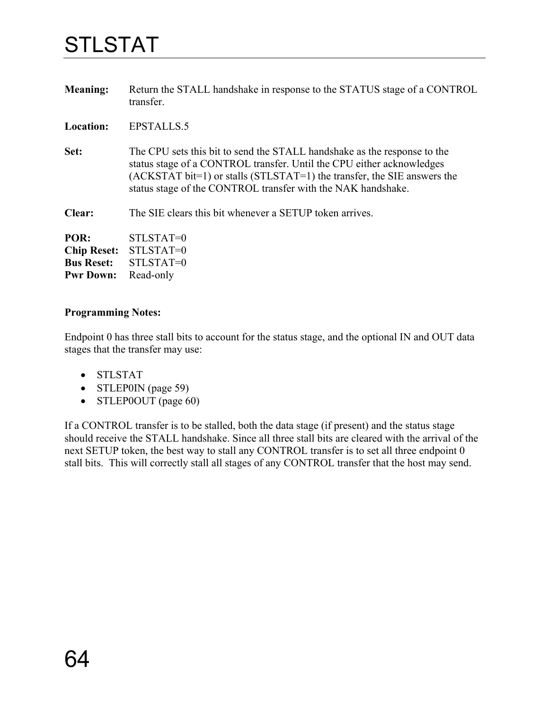# <span id="page-67-0"></span>STLSTAT

| <b>Meaning:</b>    | Return the STALL handshake in response to the STATUS stage of a CONTROL<br>transfer.                                                                                                                                                                                                             |
|--------------------|--------------------------------------------------------------------------------------------------------------------------------------------------------------------------------------------------------------------------------------------------------------------------------------------------|
| <b>Location:</b>   | <b>EPSTALLS.5</b>                                                                                                                                                                                                                                                                                |
| Set:               | The CPU sets this bit to send the STALL handshake as the response to the<br>status stage of a CONTROL transfer. Until the CPU either acknowledges<br>$(ACKSTAT bit=1)$ or stalls $(STLSTAT=1)$ the transfer, the SIE answers the<br>status stage of the CONTROL transfer with the NAK handshake. |
| Clear:             | The SIE clears this bit whenever a SETUP token arrives.                                                                                                                                                                                                                                          |
| POR:               | STLSTAT=0                                                                                                                                                                                                                                                                                        |
| <b>Chip Reset:</b> | STLSTAT=0                                                                                                                                                                                                                                                                                        |
| <b>Bus Reset:</b>  | STLSTAT=0                                                                                                                                                                                                                                                                                        |
| <b>Pwr Down:</b>   | Read-only                                                                                                                                                                                                                                                                                        |

### **Programming Notes:**

Endpoint 0 has three stall bits to account for the status stage, and the optional IN and OUT data stages that the transfer may use:

- STLSTAT
- STLEP0IN (page [59\)](#page-62-0)
- STLEPOOUT (page [60\)](#page-63-0)

If a CONTROL transfer is to be stalled, both the data stage (if present) and the status stage should receive the STALL handshake. Since all three stall bits are cleared with the arrival of the next SETUP token, the best way to stall any CONTROL transfer is to set all three endpoint 0 stall bits. This will correctly stall all stages of any CONTROL transfer that the host may send.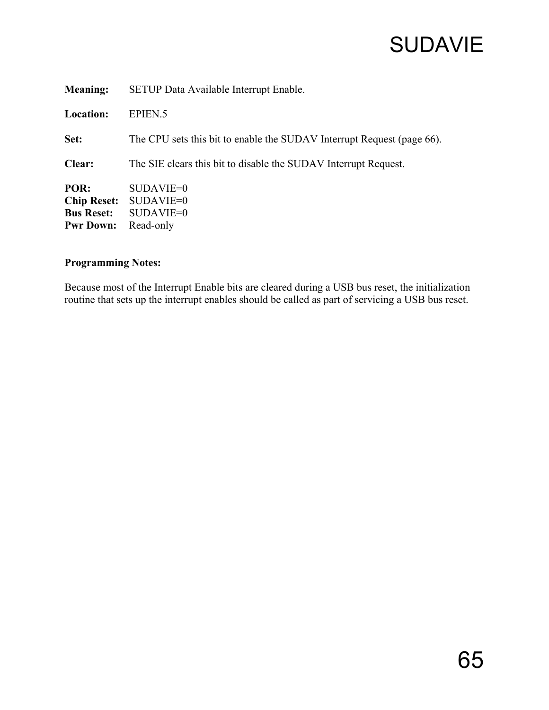| <b>Meaning:</b>                                                     | SETUP Data Available Interrupt Enable.                                 |
|---------------------------------------------------------------------|------------------------------------------------------------------------|
| <b>Location:</b>                                                    | EPIEN <sub>.5</sub>                                                    |
| Set:                                                                | The CPU sets this bit to enable the SUDAV Interrupt Request (page 66). |
| Clear:                                                              | The SIE clears this bit to disable the SUDAV Interrupt Request.        |
| POR:<br><b>Chip Reset:</b><br><b>Bus Reset:</b><br><b>Pwr Down:</b> | $SUBAVIE=0$<br>SUDAVIE=0<br>SUDAVIE=0<br>Read-only                     |

Because most of the Interrupt Enable bits are cleared during a USB bus reset, the initialization routine that sets up the interrupt enables should be called as part of servicing a USB bus reset.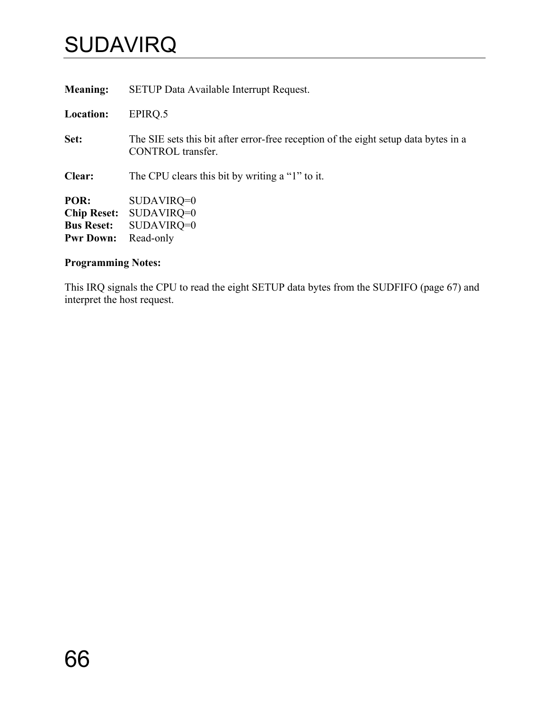# <span id="page-69-0"></span>**SUDAVIRQ**

| <b>Meaning:</b>    | <b>SETUP Data Available Interrupt Request.</b>                                                           |
|--------------------|----------------------------------------------------------------------------------------------------------|
| Location:          | EPIRO.5                                                                                                  |
| Set:               | The SIE sets this bit after error-free reception of the eight setup data bytes in a<br>CONTROL transfer. |
| Clear:             | The CPU clears this bit by writing a "1" to it.                                                          |
| POR:               | $SUDAVIRQ=0$                                                                                             |
| <b>Chip Reset:</b> | $SUDAVIRQ=0$                                                                                             |
| <b>Bus Reset:</b>  | $SUDAVIRQ=0$                                                                                             |
| <b>Pwr Down:</b>   | Read-only                                                                                                |

## **Programming Notes:**

This IRQ signals the CPU to read the eight SETUP data bytes from the SUDFIFO (page [67\)](#page-70-0) and interpret the host request.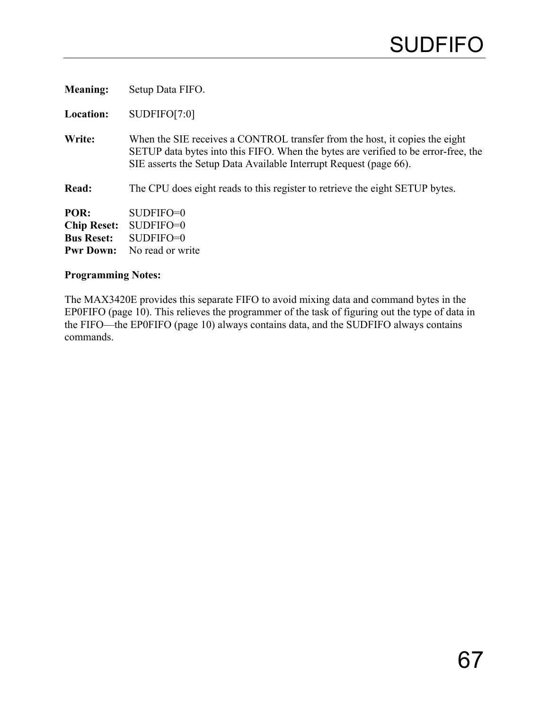<span id="page-70-0"></span>

| <b>Meaning:</b>                                                     | Setup Data FIFO.                                                                                                                                                                                                                       |
|---------------------------------------------------------------------|----------------------------------------------------------------------------------------------------------------------------------------------------------------------------------------------------------------------------------------|
| <b>Location:</b>                                                    | SUDFIFO[7:0]                                                                                                                                                                                                                           |
| Write:                                                              | When the SIE receives a CONTROL transfer from the host, it copies the eight<br>SETUP data bytes into this FIFO. When the bytes are verified to be error-free, the<br>SIE asserts the Setup Data Available Interrupt Request (page 66). |
| Read:                                                               | The CPU does eight reads to this register to retrieve the eight SETUP bytes.                                                                                                                                                           |
| POR:<br><b>Chip Reset:</b><br><b>Bus Reset:</b><br><b>Pwr Down:</b> | $SUBFIFO=0$<br>$SUBFIFO=0$<br>$SUBFIFO=0$<br>No read or write                                                                                                                                                                          |

The MAX3420E provides this separate FIFO to avoid mixing data and command bytes in the EP0FIFO (page [10\)](#page-13-0). This relieves the programmer of the task of figuring out the type of data in the FIFO—the EP0FIFO (page [10\)](#page-13-0) always contains data, and the SUDFIFO always contains commands.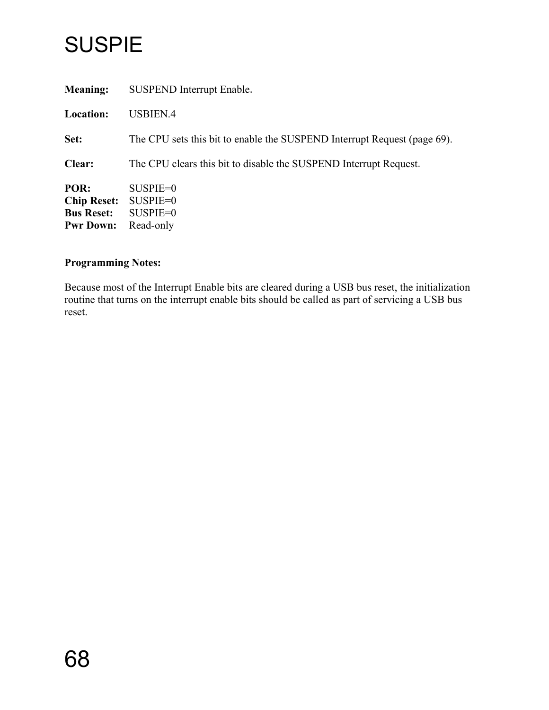## SUSPIE

| <b>Meaning:</b>                                                     | <b>SUSPEND Interrupt Enable.</b>                                         |
|---------------------------------------------------------------------|--------------------------------------------------------------------------|
| <b>Location:</b>                                                    | USBIEN.4                                                                 |
| Set:                                                                | The CPU sets this bit to enable the SUSPEND Interrupt Request (page 69). |
| Clear:                                                              | The CPU clears this bit to disable the SUSPEND Interrupt Request.        |
| POR:<br><b>Chip Reset:</b><br><b>Bus Reset:</b><br><b>Pwr Down:</b> | $SUBPIE=0$<br>$SUBPIE=0$<br>$SUBPIE=0$<br>Read-only                      |

## **Programming Notes:**

Because most of the Interrupt Enable bits are cleared during a USB bus reset, the initialization routine that turns on the interrupt enable bits should be called as part of servicing a USB bus reset.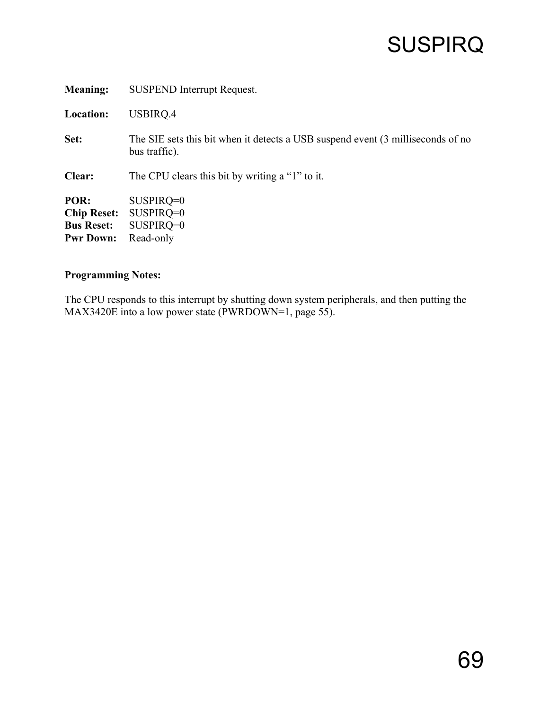<span id="page-72-0"></span>

| <b>Meaning:</b>                                                     | <b>SUSPEND Interrupt Request.</b>                                                                |
|---------------------------------------------------------------------|--------------------------------------------------------------------------------------------------|
| <b>Location:</b>                                                    | USBIRQ.4                                                                                         |
| Set:                                                                | The SIE sets this bit when it detects a USB suspend event (3 milliseconds of no<br>bus traffic). |
| Clear:                                                              | The CPU clears this bit by writing a "1" to it.                                                  |
| POR:<br><b>Chip Reset:</b><br><b>Bus Reset:</b><br><b>Pwr Down:</b> | $SUSPIRQ=0$<br>$SUSPIRQ=0$<br>$SUSPIRQ=0$<br>Read-only                                           |

### **Programming Notes:**

The CPU responds to this interrupt by shutting down system peripherals, and then putting the MAX3420E into a low power state (PWRDOWN=1, page [55\)](#page-58-0).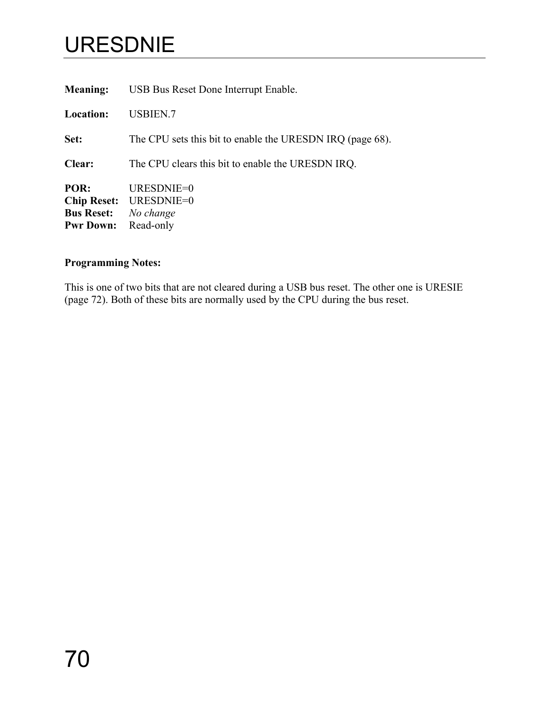# <span id="page-73-1"></span><span id="page-73-0"></span>URESDNIE

| <b>Meaning:</b>                                                     | USB Bus Reset Done Interrupt Enable.                      |
|---------------------------------------------------------------------|-----------------------------------------------------------|
| <b>Location:</b>                                                    | <b>USBIEN.7</b>                                           |
| Set:                                                                | The CPU sets this bit to enable the URESDN IRQ (page 68). |
| Clear:                                                              | The CPU clears this bit to enable the URESDN IRQ.         |
| POR:<br><b>Chip Reset:</b><br><b>Bus Reset:</b><br><b>Pwr Down:</b> | URESDNIE=0<br>URESDNIE=0<br>No change<br>Read-only        |
|                                                                     |                                                           |

### **Programming Notes:**

This is one of two bits that are not cleared during a USB bus reset. The other one is URESIE (page [72\)](#page-75-0). Both of these bits are normally used by the CPU during the bus reset.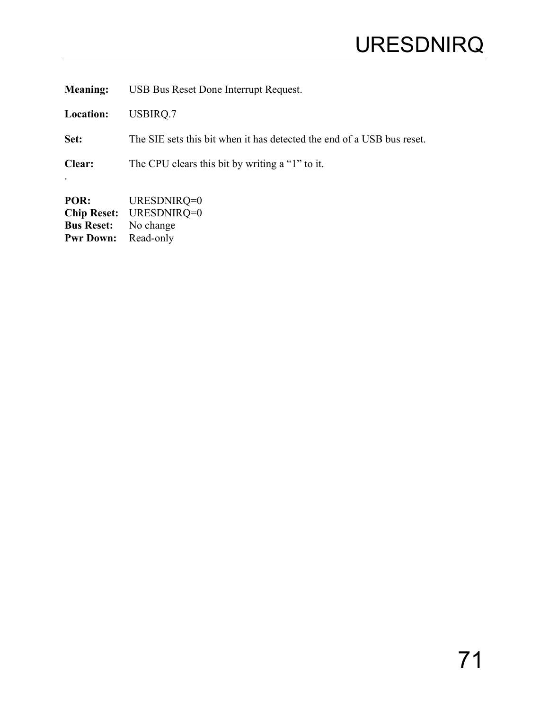<span id="page-74-1"></span><span id="page-74-0"></span>**Meaning:** USB Bus Reset Done Interrupt Request.

**Location:** USBIRQ.7

.

**Set:** The SIE sets this bit when it has detected the end of a USB bus reset.

**Clear:** The CPU clears this bit by writing a "1" to it.

**POR:** URESDNIRQ=0 **Chip Reset:** URESDNIRQ=0 **Bus Reset:** No change<br>**Pwr Down:** Read-only **Pwr Down:**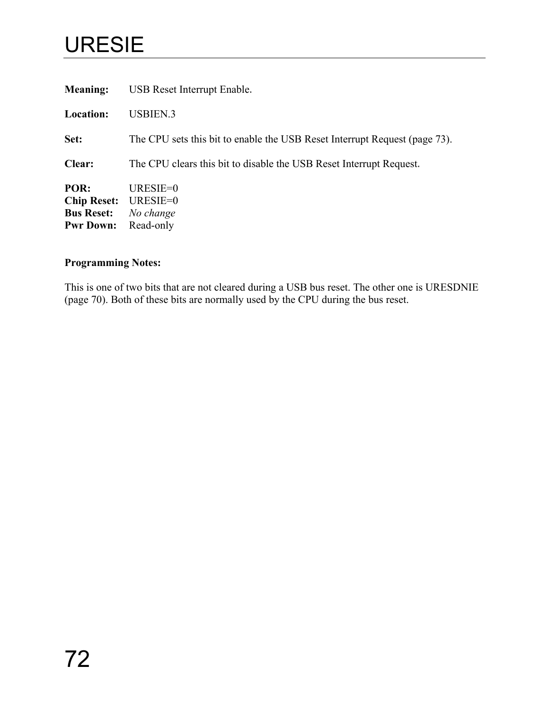# <span id="page-75-1"></span><span id="page-75-0"></span>URESIE

| <b>Meaning:</b>                                                     | USB Reset Interrupt Enable.                                                |
|---------------------------------------------------------------------|----------------------------------------------------------------------------|
| <b>Location:</b>                                                    | USBIEN.3                                                                   |
| Set:                                                                | The CPU sets this bit to enable the USB Reset Interrupt Request (page 73). |
| <b>Clear:</b>                                                       | The CPU clears this bit to disable the USB Reset Interrupt Request.        |
| POR:<br><b>Chip Reset:</b><br><b>Bus Reset:</b><br><b>Pwr Down:</b> | URESIE= $0$<br>URESIE=0<br>No change<br>Read-only                          |

### **Programming Notes:**

This is one of two bits that are not cleared during a USB bus reset. The other one is URESDNIE (page [70\)](#page-73-0). Both of these bits are normally used by the CPU during the bus reset.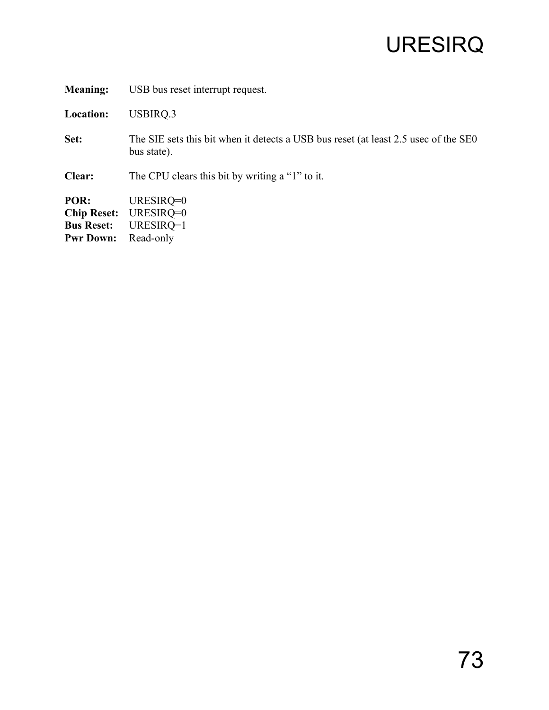<span id="page-76-1"></span><span id="page-76-0"></span>**Meaning:** USB bus reset interrupt request.

**Location:** USBIRQ.3

Set: The SIE sets this bit when it detects a USB bus reset (at least 2.5 usec of the SE0 bus state).

**Clear:** The CPU clears this bit by writing a "1" to it.

**POR:** URESIRQ=0 **Chip Reset:** URESIRQ=0 **Bus Reset:** URESIRQ=1<br>**Pwr Down:** Read-only **Pwr Down:**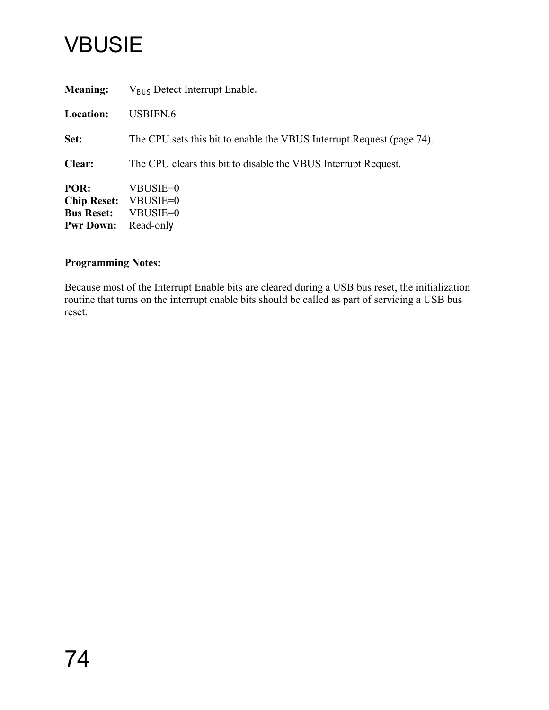## <span id="page-77-0"></span>VBUSIE

| <b>Meaning:</b>                                                     | $V_{\text{BUS}}$ Detect Interrupt Enable.                             |
|---------------------------------------------------------------------|-----------------------------------------------------------------------|
| <b>Location:</b>                                                    | USBIEN.6                                                              |
| Set:                                                                | The CPU sets this bit to enable the VBUS Interrupt Request (page 74). |
| <b>Clear:</b>                                                       | The CPU clears this bit to disable the VBUS Interrupt Request.        |
| POR:<br><b>Chip Reset:</b><br><b>Bus Reset:</b><br><b>Pwr Down:</b> | VBUSIE=0<br>VBUSIE=0<br>VBUSIE=0<br>Read-only                         |

### **Programming Notes:**

Because most of the Interrupt Enable bits are cleared during a USB bus reset, the initialization routine that turns on the interrupt enable bits should be called as part of servicing a USB bus reset.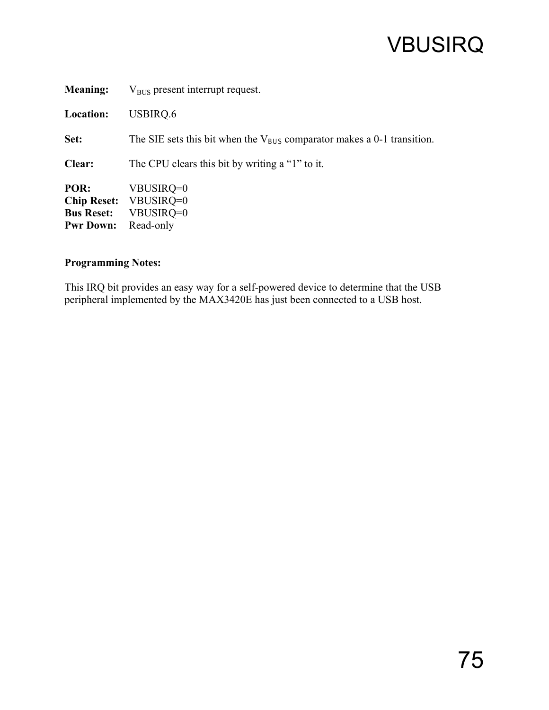<span id="page-78-1"></span><span id="page-78-0"></span>

| <b>Meaning:</b>                               | $V_{\text{RIS}}$ present interrupt request.                                        |
|-----------------------------------------------|------------------------------------------------------------------------------------|
| Location:                                     | USBIRQ.6                                                                           |
| Set:                                          | The SIE sets this bit when the $V_{\text{BUS}}$ comparator makes a 0-1 transition. |
| Clear:                                        | The CPU clears this bit by writing a "1" to it.                                    |
| POR:<br><b>Bus Reset:</b><br><b>Pwr Down:</b> | VBUSIRQ=0<br>Chip Reset: VBUSIRQ=0<br>VBUSIRQ=0<br>Read-only                       |

### **Programming Notes:**

This IRQ bit provides an easy way for a self-powered device to determine that the USB peripheral implemented by the MAX3420E has just been connected to a USB host.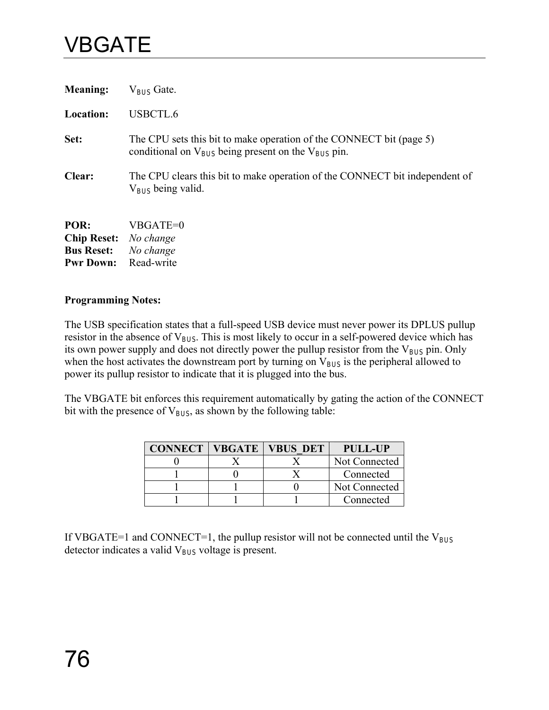## <span id="page-79-0"></span>VBGATE

| <b>Meaning:</b>                      | $V_{\text{RIS}}$ Gate.                                                                                                              |
|--------------------------------------|-------------------------------------------------------------------------------------------------------------------------------------|
| <b>Location:</b>                     | USBCTL.6                                                                                                                            |
| Set:                                 | The CPU sets this bit to make operation of the CONNECT bit (page 5)<br>conditional on $V_{BUS}$ being present on the $V_{BUS}$ pin. |
| Clear:                               | The CPU clears this bit to make operation of the CONNECT bit independent of<br>$V_{\text{RUS}}$ being valid.                        |
| POR:<br><b>Chip Reset:</b> No change | VBGATE=0                                                                                                                            |

**Bus Reset:** *No change*  **Pwr Down:** Read-write

### **Programming Notes:**

The USB specification states that a full-speed USB device must never power its DPLUS pullup resistor in the absence of  $V_{\text{BUS}}$ . This is most likely to occur in a self-powered device which has its own power supply and does not directly power the pullup resistor from the  $V_{BUS}$  pin. Only when the host activates the downstream port by turning on V<sub>BUS</sub> is the peripheral allowed to power its pullup resistor to indicate that it is plugged into the bus.

The VBGATE bit enforces this requirement automatically by gating the action of the CONNECT bit with the presence of  $V_{BUS}$ , as shown by the following table:

| <b>CONNECT</b> | <b>VBGATE   VBUS DET</b> | <b>PULL-UP</b> |
|----------------|--------------------------|----------------|
|                |                          | Not Connected  |
|                |                          | Connected      |
|                |                          | Not Connected  |
|                |                          | Connected      |

If VBGATE=1 and CONNECT=1, the pullup resistor will not be connected until the  $V_{BUS}$ detector indicates a valid  $V_{BUS}$  voltage is present.